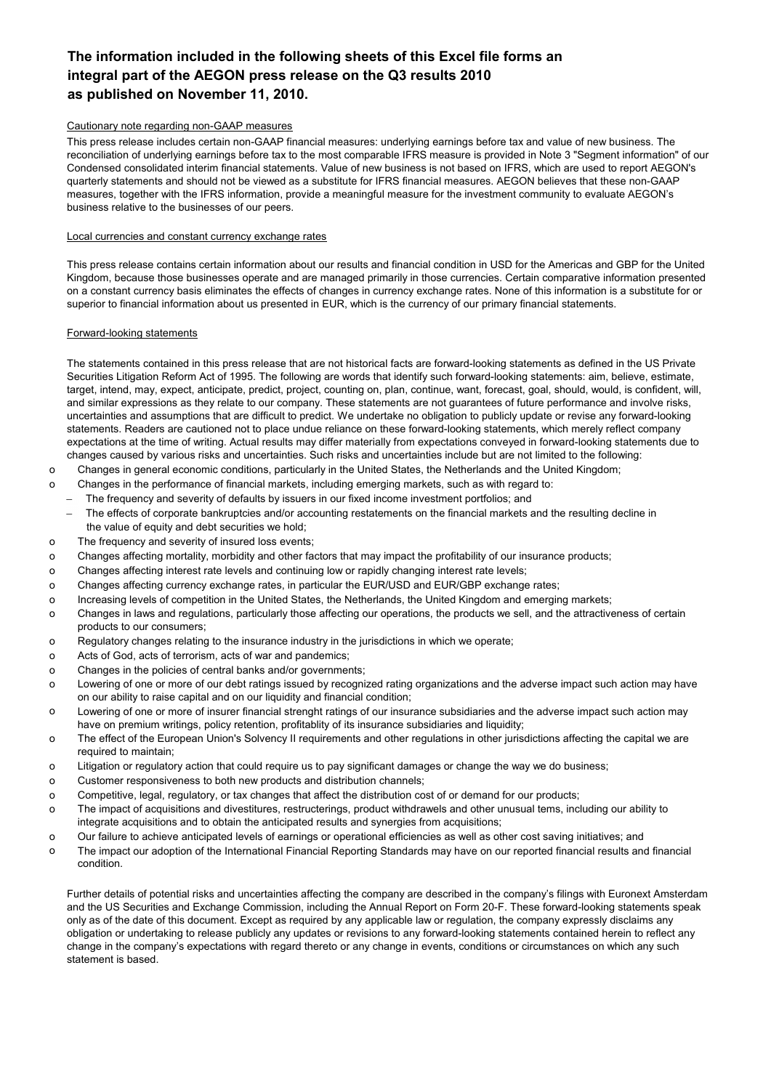# **The information included in the following sheets of this Excel file forms an integral part of the AEGON press release on the Q3 results 2010 as published on November 11, 2010.**

### Cautionary note regarding non-GAAP measures

This press release includes certain non-GAAP financial measures: underlying earnings before tax and value of new business. The reconciliation of underlying earnings before tax to the most comparable IFRS measure is provided in Note 3 "Segment information" of our Condensed consolidated interim financial statements. Value of new business is not based on IFRS, which are used to report AEGON's quarterly statements and should not be viewed as a substitute for IFRS financial measures. AEGON believes that these non-GAAP measures, together with the IFRS information, provide a meaningful measure for the investment community to evaluate AEGON's business relative to the businesses of our peers.

#### Local currencies and constant currency exchange rates

This press release contains certain information about our results and financial condition in USD for the Americas and GBP for the United Kingdom, because those businesses operate and are managed primarily in those currencies. Certain comparative information presented on a constant currency basis eliminates the effects of changes in currency exchange rates. None of this information is a substitute for or superior to financial information about us presented in EUR, which is the currency of our primary financial statements.

#### Forward-looking statements

The statements contained in this press release that are not historical facts are forward-looking statements as defined in the US Private Securities Litigation Reform Act of 1995. The following are words that identify such forward-looking statements: aim, believe, estimate, target, intend, may, expect, anticipate, predict, project, counting on, plan, continue, want, forecast, goal, should, would, is confident, will, and similar expressions as they relate to our company. These statements are not guarantees of future performance and involve risks, uncertainties and assumptions that are difficult to predict. We undertake no obligation to publicly update or revise any forward-looking statements. Readers are cautioned not to place undue reliance on these forward-looking statements, which merely reflect company expectations at the time of writing. Actual results may differ materially from expectations conveyed in forward-looking statements due to changes caused by various risks and uncertainties. Such risks and uncertainties include but are not limited to the following:

- o Changes in general economic conditions, particularly in the United States, the Netherlands and the United Kingdom;
- o Changes in the performance of financial markets, including emerging markets, such as with regard to:
	- The frequency and severity of defaults by issuers in our fixed income investment portfolios; and
	- The effects of corporate bankruptcies and/or accounting restatements on the financial markets and the resulting decline in the value of equity and debt securities we hold;
- o The frequency and severity of insured loss events;
- o Changes affecting mortality, morbidity and other factors that may impact the profitability of our insurance products;
- o Changes affecting interest rate levels and continuing low or rapidly changing interest rate levels;
- o Changes affecting currency exchange rates, in particular the EUR/USD and EUR/GBP exchange rates;
- o Increasing levels of competition in the United States, the Netherlands, the United Kingdom and emerging markets;
- o Changes in laws and regulations, particularly those affecting our operations, the products we sell, and the attractiveness of certain products to our consumers;
- o Regulatory changes relating to the insurance industry in the jurisdictions in which we operate;
- o Acts of God, acts of terrorism, acts of war and pandemics;
- o Changes in the policies of central banks and/or governments;
- o Lowering of one or more of our debt ratings issued by recognized rating organizations and the adverse impact such action may have on our ability to raise capital and on our liquidity and financial condition;
- o Lowering of one or more of insurer financial strenght ratings of our insurance subsidiaries and the adverse impact such action may have on premium writings, policy retention, profitablity of its insurance subsidiaries and liquidity;
- o The effect of the European Union's Solvency II requirements and other regulations in other jurisdictions affecting the capital we are required to maintain;
- o Litigation or regulatory action that could require us to pay significant damages or change the way we do business;
- o Customer responsiveness to both new products and distribution channels;
- o Competitive, legal, regulatory, or tax changes that affect the distribution cost of or demand for our products;
- o The impact of acquisitions and divestitures, restructerings, product withdrawels and other unusual tems, including our ability to integrate acquisitions and to obtain the anticipated results and synergies from acquisitions;
- o Our failure to achieve anticipated levels of earnings or operational efficiencies as well as other cost saving initiatives; and
- o The impact our adoption of the International Financial Reporting Standards may have on our reported financial results and financial condition.

Further details of potential risks and uncertainties affecting the company are described in the company's filings with Euronext Amsterdam and the US Securities and Exchange Commission, including the Annual Report on Form 20-F. These forward-looking statements speak only as of the date of this document. Except as required by any applicable law or regulation, the company expressly disclaims any obligation or undertaking to release publicly any updates or revisions to any forward-looking statements contained herein to reflect any change in the company's expectations with regard thereto or any change in events, conditions or circumstances on which any such statement is based.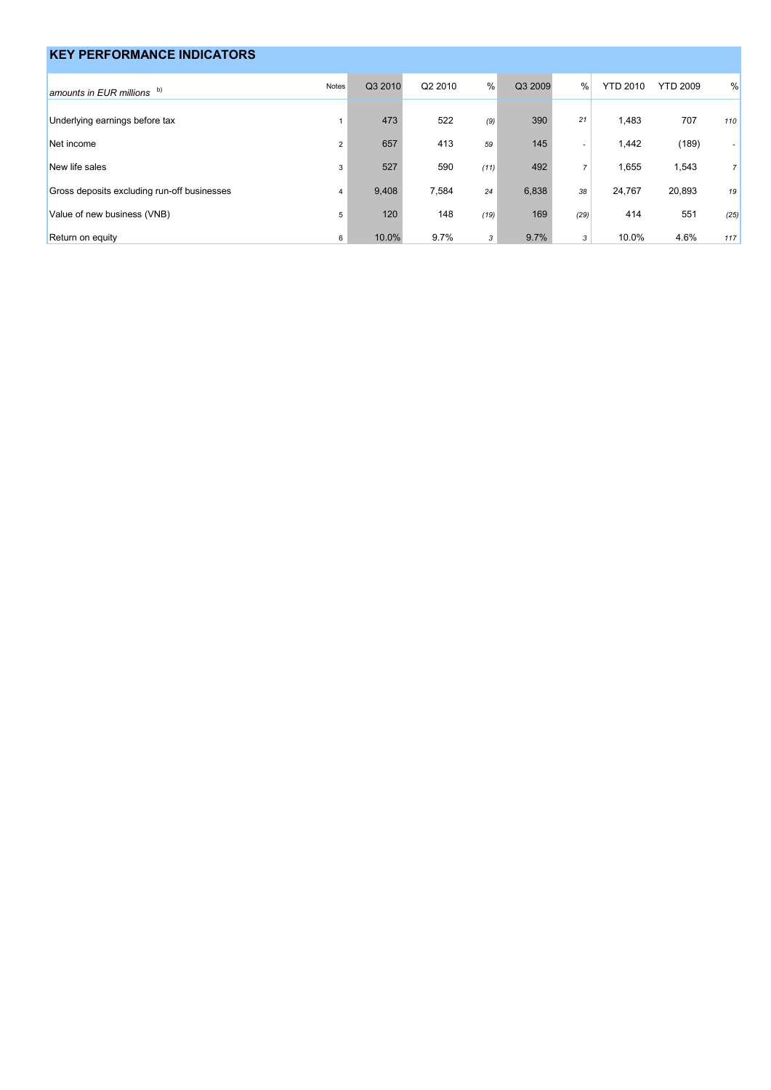| <b>KEY PERFORMANCE INDICATORS</b>           |                |         |         |      |         |                |                 |                 |                |
|---------------------------------------------|----------------|---------|---------|------|---------|----------------|-----------------|-----------------|----------------|
| amounts in EUR millions $\overline{b}$ )    | Notes          | Q3 2010 | Q2 2010 | %    | Q3 2009 | $\%$           | <b>YTD 2010</b> | <b>YTD 2009</b> | %              |
| Underlying earnings before tax              |                | 473     | 522     | (9)  | 390     | 21             | 1,483           | 707             | 110            |
| Net income                                  | $\overline{2}$ | 657     | 413     | 59   | 145     |                | 1,442           | (189)           |                |
| New life sales                              | 3              | 527     | 590     | (11) | 492     | $\overline{7}$ | 1,655           | 1,543           | 7 <sup>1</sup> |
| Gross deposits excluding run-off businesses | 4              | 9,408   | 7,584   | 24   | 6,838   | 38             | 24,767          | 20,893          | 19             |
| Value of new business (VNB)                 | 5              | 120     | 148     | (19) | 169     | (29)           | 414             | 551             | (25)           |
| Return on equity                            | 6              | 10.0%   | 9.7%    | 3    | 9.7%    | 3              | 10.0%           | 4.6%            | 117            |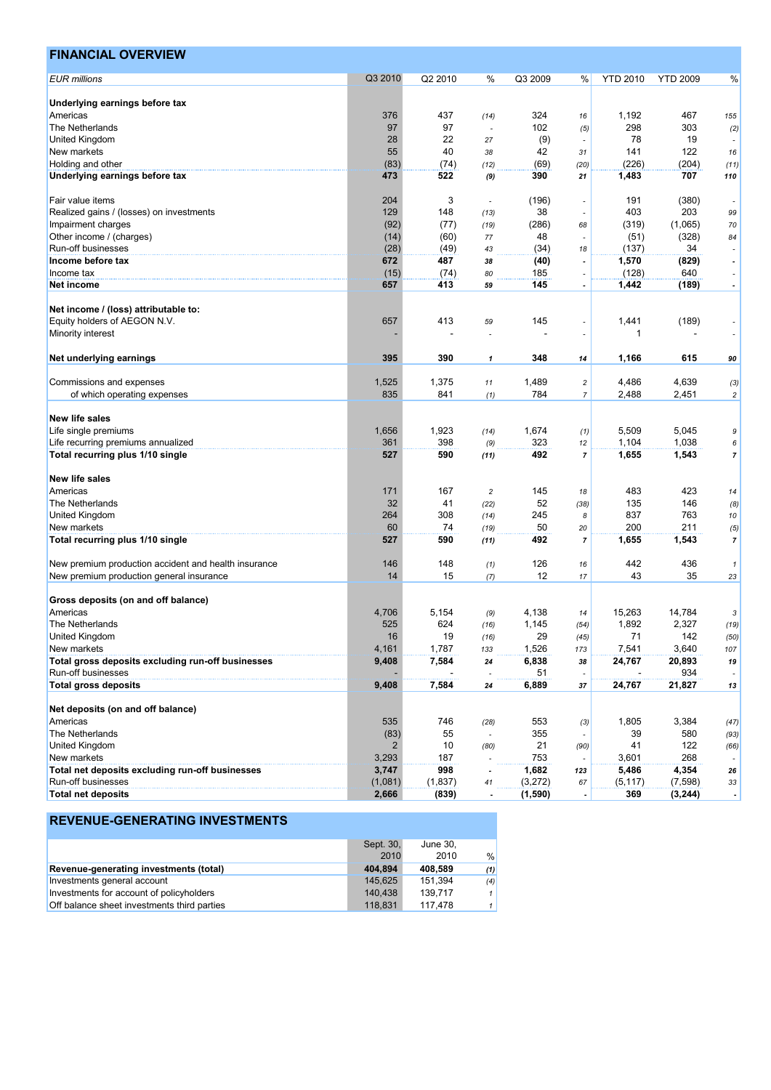| Q3 2010<br>Q2 2010<br>Q3 2009<br><b>EUR millions</b><br>%<br>%<br><b>YTD 2010</b><br><b>YTD 2009</b><br>%<br>Underlying earnings before tax<br>376<br>324<br>Americas<br>437<br>1,192<br>467<br>155<br>(14)<br>16<br>The Netherlands<br>97<br>97<br>102<br>298<br>303<br>(5)<br>(2)<br>28<br>22<br>78<br>19<br>United Kingdom<br>(9)<br>27<br>122<br>55<br>40<br>42<br>141<br>New markets<br>38<br>16<br>31<br>(226)<br>(204)<br>Holding and other<br>(83)<br>(74)<br>(69)<br>(12)<br>(20)<br>(11)<br>522<br>390<br>1,483<br>707<br>Underlying earnings before tax<br>473<br>(9)<br>21<br>110<br>3<br>Fair value items<br>204<br>(196)<br>191<br>(380)<br>129<br>403<br>203<br>Realized gains / (losses) on investments<br>148<br>38<br>(13)<br>99<br>$\overline{\phantom{a}}$<br>Impairment charges<br>(92)<br>(77)<br>(286)<br>(319)<br>(1,065)<br>70<br>(19)<br>68<br>(60)<br>48<br>(328)<br>Other income / (charges)<br>(14)<br>(51)<br>77<br>84<br>Run-off businesses<br>(28)<br>(49)<br>(34)<br>(137)<br>34<br>43<br>18<br>$\overline{\phantom{a}}$<br>Income before tax<br>672<br>487<br>(40)<br>1,570<br>(829)<br>38<br>$\overline{\phantom{a}}$<br>(128)<br>Income tax<br>(15)<br>(74)<br>185<br>640<br>80<br>$\overline{\phantom{a}}$<br>657<br>413<br>145<br>(189)<br>Net income<br>1,442<br>59<br>$\overline{\phantom{a}}$<br>Net income / (loss) attributable to:<br>Equity holders of AEGON N.V.<br>657<br>413<br>145<br>1,441<br>(189)<br>59<br>Minority interest<br>1<br>÷,<br>$\frac{1}{2}$<br>395<br>390<br>348<br>1,166<br>615<br>Net underlying earnings<br>90<br>14<br>1<br>1,525<br>1,489<br>4,486<br>4,639<br>Commissions and expenses<br>1,375<br>11<br>$\overline{c}$<br>(3)<br>835<br>841<br>784<br>2,488<br>2,451<br>of which operating expenses<br>(1)<br>$\boldsymbol{7}$<br>$\overline{\mathbf{c}}$<br><b>New life sales</b><br>1,923<br>Life single premiums<br>1,656<br>1,674<br>5,509<br>5,045<br>(14)<br>(1)<br>9<br>361<br>398<br>323<br>1,104<br>1,038<br>Life recurring premiums annualized<br>(9)<br>12<br>6<br>590<br>492<br>Total recurring plus 1/10 single<br>527<br>1,655<br>1,543<br>$\overline{7}$<br>(11)<br>7<br><b>New life sales</b><br>171<br>167<br>145<br>483<br>423<br>Americas<br>2<br>18<br>14<br>32<br>41<br>52<br>135<br>146<br>The Netherlands<br>(38)<br>(22)<br>(8)<br>245<br>837<br>763<br>United Kingdom<br>264<br>308<br>8<br>10<br>(14)<br>50<br>200<br>211<br>New markets<br>60<br>74<br>(19)<br>20<br>(5)<br>527<br>590<br>492<br>Total recurring plus 1/10 single<br>1,655<br>1,543<br>$\overline{7}$<br>$\overline{7}$<br>(11)<br>New premium production accident and health insurance<br>146<br>148<br>126<br>442<br>436<br>(1)<br>16<br>1<br>15<br>12<br>43<br>35<br>New premium production general insurance<br>14<br>$17\,$<br>(7)<br>23<br>Gross deposits (on and off balance)<br>4,706<br>5,154<br>4,138<br>15,263<br>14,784<br>Americas<br>(9)<br>14<br>3<br>525<br>The Netherlands<br>624<br>1,145<br>1,892<br>2,327<br>(19)<br>(16)<br>(54)<br>United Kingdom<br>16<br>19<br>29<br>71<br>142<br>(50)<br>(16)<br>(45)<br>7,541<br>New markets<br>4,161<br>1,787<br>1,526<br>3,640<br>133<br>173<br>107<br>Total gross deposits excluding run-off businesses<br>7,584<br>6,838<br>24,767<br>9,408<br>20,893<br>19<br>24<br>38<br>Run-off businesses<br>934<br>51<br><b>Total gross deposits</b><br>9,408<br>7,584<br>6,889<br>24,767<br>21,827<br>13<br>24<br>37<br>Net deposits (on and off balance)<br>535<br>Americas<br>746<br>553<br>1,805<br>3,384<br>(47)<br>(28)<br>(3)<br>The Netherlands<br>(83)<br>55<br>355<br>39<br>580<br>(93)<br>10<br>21<br>122<br>United Kingdom<br>41<br>2<br>(80)<br>(66)<br>(90)<br>New markets<br>3,293<br>187<br>753<br>268<br>3,601<br>Total net deposits excluding run-off businesses<br>3,747<br>998<br>1,682<br>4,354<br>5,486<br>26<br>123<br>Run-off businesses<br>(1,081)<br>(1,837)<br>(3,272)<br>(5, 117)<br>(7, 598)<br>33<br>41<br>67<br><b>Total net deposits</b><br>2,666<br>(839)<br>(1, 590)<br>369<br>(3, 244) | <b>FINANCIAL OVERVIEW</b> |  |  |  |  |
|-------------------------------------------------------------------------------------------------------------------------------------------------------------------------------------------------------------------------------------------------------------------------------------------------------------------------------------------------------------------------------------------------------------------------------------------------------------------------------------------------------------------------------------------------------------------------------------------------------------------------------------------------------------------------------------------------------------------------------------------------------------------------------------------------------------------------------------------------------------------------------------------------------------------------------------------------------------------------------------------------------------------------------------------------------------------------------------------------------------------------------------------------------------------------------------------------------------------------------------------------------------------------------------------------------------------------------------------------------------------------------------------------------------------------------------------------------------------------------------------------------------------------------------------------------------------------------------------------------------------------------------------------------------------------------------------------------------------------------------------------------------------------------------------------------------------------------------------------------------------------------------------------------------------------------------------------------------------------------------------------------------------------------------------------------------------------------------------------------------------------------------------------------------------------------------------------------------------------------------------------------------------------------------------------------------------------------------------------------------------------------------------------------------------------------------------------------------------------------------------------------------------------------------------------------------------------------------------------------------------------------------------------------------------------------------------------------------------------------------------------------------------------------------------------------------------------------------------------------------------------------------------------------------------------------------------------------------------------------------------------------------------------------------------------------------------------------------------------------------------------------------------------------------------------------------------------------------------------------------------------------------------------------------------------------------------------------------------------------------------------------------------------------------------------------------------------------------------------------------------------------------------------------------------------------------------------------------------------------------------------------------------------------------------------------------------------------------------------------------------------------------------------------------------------------------------------------------------------------------------------------------------------------------------------------------------------------------------------------------------------------------------------------------------------|---------------------------|--|--|--|--|
|                                                                                                                                                                                                                                                                                                                                                                                                                                                                                                                                                                                                                                                                                                                                                                                                                                                                                                                                                                                                                                                                                                                                                                                                                                                                                                                                                                                                                                                                                                                                                                                                                                                                                                                                                                                                                                                                                                                                                                                                                                                                                                                                                                                                                                                                                                                                                                                                                                                                                                                                                                                                                                                                                                                                                                                                                                                                                                                                                                                                                                                                                                                                                                                                                                                                                                                                                                                                                                                                                                                                                                                                                                                                                                                                                                                                                                                                                                                                                                                                                                                 |                           |  |  |  |  |
|                                                                                                                                                                                                                                                                                                                                                                                                                                                                                                                                                                                                                                                                                                                                                                                                                                                                                                                                                                                                                                                                                                                                                                                                                                                                                                                                                                                                                                                                                                                                                                                                                                                                                                                                                                                                                                                                                                                                                                                                                                                                                                                                                                                                                                                                                                                                                                                                                                                                                                                                                                                                                                                                                                                                                                                                                                                                                                                                                                                                                                                                                                                                                                                                                                                                                                                                                                                                                                                                                                                                                                                                                                                                                                                                                                                                                                                                                                                                                                                                                                                 |                           |  |  |  |  |
|                                                                                                                                                                                                                                                                                                                                                                                                                                                                                                                                                                                                                                                                                                                                                                                                                                                                                                                                                                                                                                                                                                                                                                                                                                                                                                                                                                                                                                                                                                                                                                                                                                                                                                                                                                                                                                                                                                                                                                                                                                                                                                                                                                                                                                                                                                                                                                                                                                                                                                                                                                                                                                                                                                                                                                                                                                                                                                                                                                                                                                                                                                                                                                                                                                                                                                                                                                                                                                                                                                                                                                                                                                                                                                                                                                                                                                                                                                                                                                                                                                                 |                           |  |  |  |  |
|                                                                                                                                                                                                                                                                                                                                                                                                                                                                                                                                                                                                                                                                                                                                                                                                                                                                                                                                                                                                                                                                                                                                                                                                                                                                                                                                                                                                                                                                                                                                                                                                                                                                                                                                                                                                                                                                                                                                                                                                                                                                                                                                                                                                                                                                                                                                                                                                                                                                                                                                                                                                                                                                                                                                                                                                                                                                                                                                                                                                                                                                                                                                                                                                                                                                                                                                                                                                                                                                                                                                                                                                                                                                                                                                                                                                                                                                                                                                                                                                                                                 |                           |  |  |  |  |
|                                                                                                                                                                                                                                                                                                                                                                                                                                                                                                                                                                                                                                                                                                                                                                                                                                                                                                                                                                                                                                                                                                                                                                                                                                                                                                                                                                                                                                                                                                                                                                                                                                                                                                                                                                                                                                                                                                                                                                                                                                                                                                                                                                                                                                                                                                                                                                                                                                                                                                                                                                                                                                                                                                                                                                                                                                                                                                                                                                                                                                                                                                                                                                                                                                                                                                                                                                                                                                                                                                                                                                                                                                                                                                                                                                                                                                                                                                                                                                                                                                                 |                           |  |  |  |  |
|                                                                                                                                                                                                                                                                                                                                                                                                                                                                                                                                                                                                                                                                                                                                                                                                                                                                                                                                                                                                                                                                                                                                                                                                                                                                                                                                                                                                                                                                                                                                                                                                                                                                                                                                                                                                                                                                                                                                                                                                                                                                                                                                                                                                                                                                                                                                                                                                                                                                                                                                                                                                                                                                                                                                                                                                                                                                                                                                                                                                                                                                                                                                                                                                                                                                                                                                                                                                                                                                                                                                                                                                                                                                                                                                                                                                                                                                                                                                                                                                                                                 |                           |  |  |  |  |
|                                                                                                                                                                                                                                                                                                                                                                                                                                                                                                                                                                                                                                                                                                                                                                                                                                                                                                                                                                                                                                                                                                                                                                                                                                                                                                                                                                                                                                                                                                                                                                                                                                                                                                                                                                                                                                                                                                                                                                                                                                                                                                                                                                                                                                                                                                                                                                                                                                                                                                                                                                                                                                                                                                                                                                                                                                                                                                                                                                                                                                                                                                                                                                                                                                                                                                                                                                                                                                                                                                                                                                                                                                                                                                                                                                                                                                                                                                                                                                                                                                                 |                           |  |  |  |  |
|                                                                                                                                                                                                                                                                                                                                                                                                                                                                                                                                                                                                                                                                                                                                                                                                                                                                                                                                                                                                                                                                                                                                                                                                                                                                                                                                                                                                                                                                                                                                                                                                                                                                                                                                                                                                                                                                                                                                                                                                                                                                                                                                                                                                                                                                                                                                                                                                                                                                                                                                                                                                                                                                                                                                                                                                                                                                                                                                                                                                                                                                                                                                                                                                                                                                                                                                                                                                                                                                                                                                                                                                                                                                                                                                                                                                                                                                                                                                                                                                                                                 |                           |  |  |  |  |
|                                                                                                                                                                                                                                                                                                                                                                                                                                                                                                                                                                                                                                                                                                                                                                                                                                                                                                                                                                                                                                                                                                                                                                                                                                                                                                                                                                                                                                                                                                                                                                                                                                                                                                                                                                                                                                                                                                                                                                                                                                                                                                                                                                                                                                                                                                                                                                                                                                                                                                                                                                                                                                                                                                                                                                                                                                                                                                                                                                                                                                                                                                                                                                                                                                                                                                                                                                                                                                                                                                                                                                                                                                                                                                                                                                                                                                                                                                                                                                                                                                                 |                           |  |  |  |  |
|                                                                                                                                                                                                                                                                                                                                                                                                                                                                                                                                                                                                                                                                                                                                                                                                                                                                                                                                                                                                                                                                                                                                                                                                                                                                                                                                                                                                                                                                                                                                                                                                                                                                                                                                                                                                                                                                                                                                                                                                                                                                                                                                                                                                                                                                                                                                                                                                                                                                                                                                                                                                                                                                                                                                                                                                                                                                                                                                                                                                                                                                                                                                                                                                                                                                                                                                                                                                                                                                                                                                                                                                                                                                                                                                                                                                                                                                                                                                                                                                                                                 |                           |  |  |  |  |
|                                                                                                                                                                                                                                                                                                                                                                                                                                                                                                                                                                                                                                                                                                                                                                                                                                                                                                                                                                                                                                                                                                                                                                                                                                                                                                                                                                                                                                                                                                                                                                                                                                                                                                                                                                                                                                                                                                                                                                                                                                                                                                                                                                                                                                                                                                                                                                                                                                                                                                                                                                                                                                                                                                                                                                                                                                                                                                                                                                                                                                                                                                                                                                                                                                                                                                                                                                                                                                                                                                                                                                                                                                                                                                                                                                                                                                                                                                                                                                                                                                                 |                           |  |  |  |  |
|                                                                                                                                                                                                                                                                                                                                                                                                                                                                                                                                                                                                                                                                                                                                                                                                                                                                                                                                                                                                                                                                                                                                                                                                                                                                                                                                                                                                                                                                                                                                                                                                                                                                                                                                                                                                                                                                                                                                                                                                                                                                                                                                                                                                                                                                                                                                                                                                                                                                                                                                                                                                                                                                                                                                                                                                                                                                                                                                                                                                                                                                                                                                                                                                                                                                                                                                                                                                                                                                                                                                                                                                                                                                                                                                                                                                                                                                                                                                                                                                                                                 |                           |  |  |  |  |
|                                                                                                                                                                                                                                                                                                                                                                                                                                                                                                                                                                                                                                                                                                                                                                                                                                                                                                                                                                                                                                                                                                                                                                                                                                                                                                                                                                                                                                                                                                                                                                                                                                                                                                                                                                                                                                                                                                                                                                                                                                                                                                                                                                                                                                                                                                                                                                                                                                                                                                                                                                                                                                                                                                                                                                                                                                                                                                                                                                                                                                                                                                                                                                                                                                                                                                                                                                                                                                                                                                                                                                                                                                                                                                                                                                                                                                                                                                                                                                                                                                                 |                           |  |  |  |  |
|                                                                                                                                                                                                                                                                                                                                                                                                                                                                                                                                                                                                                                                                                                                                                                                                                                                                                                                                                                                                                                                                                                                                                                                                                                                                                                                                                                                                                                                                                                                                                                                                                                                                                                                                                                                                                                                                                                                                                                                                                                                                                                                                                                                                                                                                                                                                                                                                                                                                                                                                                                                                                                                                                                                                                                                                                                                                                                                                                                                                                                                                                                                                                                                                                                                                                                                                                                                                                                                                                                                                                                                                                                                                                                                                                                                                                                                                                                                                                                                                                                                 |                           |  |  |  |  |
|                                                                                                                                                                                                                                                                                                                                                                                                                                                                                                                                                                                                                                                                                                                                                                                                                                                                                                                                                                                                                                                                                                                                                                                                                                                                                                                                                                                                                                                                                                                                                                                                                                                                                                                                                                                                                                                                                                                                                                                                                                                                                                                                                                                                                                                                                                                                                                                                                                                                                                                                                                                                                                                                                                                                                                                                                                                                                                                                                                                                                                                                                                                                                                                                                                                                                                                                                                                                                                                                                                                                                                                                                                                                                                                                                                                                                                                                                                                                                                                                                                                 |                           |  |  |  |  |
|                                                                                                                                                                                                                                                                                                                                                                                                                                                                                                                                                                                                                                                                                                                                                                                                                                                                                                                                                                                                                                                                                                                                                                                                                                                                                                                                                                                                                                                                                                                                                                                                                                                                                                                                                                                                                                                                                                                                                                                                                                                                                                                                                                                                                                                                                                                                                                                                                                                                                                                                                                                                                                                                                                                                                                                                                                                                                                                                                                                                                                                                                                                                                                                                                                                                                                                                                                                                                                                                                                                                                                                                                                                                                                                                                                                                                                                                                                                                                                                                                                                 |                           |  |  |  |  |
|                                                                                                                                                                                                                                                                                                                                                                                                                                                                                                                                                                                                                                                                                                                                                                                                                                                                                                                                                                                                                                                                                                                                                                                                                                                                                                                                                                                                                                                                                                                                                                                                                                                                                                                                                                                                                                                                                                                                                                                                                                                                                                                                                                                                                                                                                                                                                                                                                                                                                                                                                                                                                                                                                                                                                                                                                                                                                                                                                                                                                                                                                                                                                                                                                                                                                                                                                                                                                                                                                                                                                                                                                                                                                                                                                                                                                                                                                                                                                                                                                                                 |                           |  |  |  |  |
|                                                                                                                                                                                                                                                                                                                                                                                                                                                                                                                                                                                                                                                                                                                                                                                                                                                                                                                                                                                                                                                                                                                                                                                                                                                                                                                                                                                                                                                                                                                                                                                                                                                                                                                                                                                                                                                                                                                                                                                                                                                                                                                                                                                                                                                                                                                                                                                                                                                                                                                                                                                                                                                                                                                                                                                                                                                                                                                                                                                                                                                                                                                                                                                                                                                                                                                                                                                                                                                                                                                                                                                                                                                                                                                                                                                                                                                                                                                                                                                                                                                 |                           |  |  |  |  |
|                                                                                                                                                                                                                                                                                                                                                                                                                                                                                                                                                                                                                                                                                                                                                                                                                                                                                                                                                                                                                                                                                                                                                                                                                                                                                                                                                                                                                                                                                                                                                                                                                                                                                                                                                                                                                                                                                                                                                                                                                                                                                                                                                                                                                                                                                                                                                                                                                                                                                                                                                                                                                                                                                                                                                                                                                                                                                                                                                                                                                                                                                                                                                                                                                                                                                                                                                                                                                                                                                                                                                                                                                                                                                                                                                                                                                                                                                                                                                                                                                                                 |                           |  |  |  |  |
|                                                                                                                                                                                                                                                                                                                                                                                                                                                                                                                                                                                                                                                                                                                                                                                                                                                                                                                                                                                                                                                                                                                                                                                                                                                                                                                                                                                                                                                                                                                                                                                                                                                                                                                                                                                                                                                                                                                                                                                                                                                                                                                                                                                                                                                                                                                                                                                                                                                                                                                                                                                                                                                                                                                                                                                                                                                                                                                                                                                                                                                                                                                                                                                                                                                                                                                                                                                                                                                                                                                                                                                                                                                                                                                                                                                                                                                                                                                                                                                                                                                 |                           |  |  |  |  |
|                                                                                                                                                                                                                                                                                                                                                                                                                                                                                                                                                                                                                                                                                                                                                                                                                                                                                                                                                                                                                                                                                                                                                                                                                                                                                                                                                                                                                                                                                                                                                                                                                                                                                                                                                                                                                                                                                                                                                                                                                                                                                                                                                                                                                                                                                                                                                                                                                                                                                                                                                                                                                                                                                                                                                                                                                                                                                                                                                                                                                                                                                                                                                                                                                                                                                                                                                                                                                                                                                                                                                                                                                                                                                                                                                                                                                                                                                                                                                                                                                                                 |                           |  |  |  |  |
|                                                                                                                                                                                                                                                                                                                                                                                                                                                                                                                                                                                                                                                                                                                                                                                                                                                                                                                                                                                                                                                                                                                                                                                                                                                                                                                                                                                                                                                                                                                                                                                                                                                                                                                                                                                                                                                                                                                                                                                                                                                                                                                                                                                                                                                                                                                                                                                                                                                                                                                                                                                                                                                                                                                                                                                                                                                                                                                                                                                                                                                                                                                                                                                                                                                                                                                                                                                                                                                                                                                                                                                                                                                                                                                                                                                                                                                                                                                                                                                                                                                 |                           |  |  |  |  |
|                                                                                                                                                                                                                                                                                                                                                                                                                                                                                                                                                                                                                                                                                                                                                                                                                                                                                                                                                                                                                                                                                                                                                                                                                                                                                                                                                                                                                                                                                                                                                                                                                                                                                                                                                                                                                                                                                                                                                                                                                                                                                                                                                                                                                                                                                                                                                                                                                                                                                                                                                                                                                                                                                                                                                                                                                                                                                                                                                                                                                                                                                                                                                                                                                                                                                                                                                                                                                                                                                                                                                                                                                                                                                                                                                                                                                                                                                                                                                                                                                                                 |                           |  |  |  |  |
|                                                                                                                                                                                                                                                                                                                                                                                                                                                                                                                                                                                                                                                                                                                                                                                                                                                                                                                                                                                                                                                                                                                                                                                                                                                                                                                                                                                                                                                                                                                                                                                                                                                                                                                                                                                                                                                                                                                                                                                                                                                                                                                                                                                                                                                                                                                                                                                                                                                                                                                                                                                                                                                                                                                                                                                                                                                                                                                                                                                                                                                                                                                                                                                                                                                                                                                                                                                                                                                                                                                                                                                                                                                                                                                                                                                                                                                                                                                                                                                                                                                 |                           |  |  |  |  |
|                                                                                                                                                                                                                                                                                                                                                                                                                                                                                                                                                                                                                                                                                                                                                                                                                                                                                                                                                                                                                                                                                                                                                                                                                                                                                                                                                                                                                                                                                                                                                                                                                                                                                                                                                                                                                                                                                                                                                                                                                                                                                                                                                                                                                                                                                                                                                                                                                                                                                                                                                                                                                                                                                                                                                                                                                                                                                                                                                                                                                                                                                                                                                                                                                                                                                                                                                                                                                                                                                                                                                                                                                                                                                                                                                                                                                                                                                                                                                                                                                                                 |                           |  |  |  |  |
|                                                                                                                                                                                                                                                                                                                                                                                                                                                                                                                                                                                                                                                                                                                                                                                                                                                                                                                                                                                                                                                                                                                                                                                                                                                                                                                                                                                                                                                                                                                                                                                                                                                                                                                                                                                                                                                                                                                                                                                                                                                                                                                                                                                                                                                                                                                                                                                                                                                                                                                                                                                                                                                                                                                                                                                                                                                                                                                                                                                                                                                                                                                                                                                                                                                                                                                                                                                                                                                                                                                                                                                                                                                                                                                                                                                                                                                                                                                                                                                                                                                 |                           |  |  |  |  |
|                                                                                                                                                                                                                                                                                                                                                                                                                                                                                                                                                                                                                                                                                                                                                                                                                                                                                                                                                                                                                                                                                                                                                                                                                                                                                                                                                                                                                                                                                                                                                                                                                                                                                                                                                                                                                                                                                                                                                                                                                                                                                                                                                                                                                                                                                                                                                                                                                                                                                                                                                                                                                                                                                                                                                                                                                                                                                                                                                                                                                                                                                                                                                                                                                                                                                                                                                                                                                                                                                                                                                                                                                                                                                                                                                                                                                                                                                                                                                                                                                                                 |                           |  |  |  |  |
|                                                                                                                                                                                                                                                                                                                                                                                                                                                                                                                                                                                                                                                                                                                                                                                                                                                                                                                                                                                                                                                                                                                                                                                                                                                                                                                                                                                                                                                                                                                                                                                                                                                                                                                                                                                                                                                                                                                                                                                                                                                                                                                                                                                                                                                                                                                                                                                                                                                                                                                                                                                                                                                                                                                                                                                                                                                                                                                                                                                                                                                                                                                                                                                                                                                                                                                                                                                                                                                                                                                                                                                                                                                                                                                                                                                                                                                                                                                                                                                                                                                 |                           |  |  |  |  |
|                                                                                                                                                                                                                                                                                                                                                                                                                                                                                                                                                                                                                                                                                                                                                                                                                                                                                                                                                                                                                                                                                                                                                                                                                                                                                                                                                                                                                                                                                                                                                                                                                                                                                                                                                                                                                                                                                                                                                                                                                                                                                                                                                                                                                                                                                                                                                                                                                                                                                                                                                                                                                                                                                                                                                                                                                                                                                                                                                                                                                                                                                                                                                                                                                                                                                                                                                                                                                                                                                                                                                                                                                                                                                                                                                                                                                                                                                                                                                                                                                                                 |                           |  |  |  |  |
|                                                                                                                                                                                                                                                                                                                                                                                                                                                                                                                                                                                                                                                                                                                                                                                                                                                                                                                                                                                                                                                                                                                                                                                                                                                                                                                                                                                                                                                                                                                                                                                                                                                                                                                                                                                                                                                                                                                                                                                                                                                                                                                                                                                                                                                                                                                                                                                                                                                                                                                                                                                                                                                                                                                                                                                                                                                                                                                                                                                                                                                                                                                                                                                                                                                                                                                                                                                                                                                                                                                                                                                                                                                                                                                                                                                                                                                                                                                                                                                                                                                 |                           |  |  |  |  |
|                                                                                                                                                                                                                                                                                                                                                                                                                                                                                                                                                                                                                                                                                                                                                                                                                                                                                                                                                                                                                                                                                                                                                                                                                                                                                                                                                                                                                                                                                                                                                                                                                                                                                                                                                                                                                                                                                                                                                                                                                                                                                                                                                                                                                                                                                                                                                                                                                                                                                                                                                                                                                                                                                                                                                                                                                                                                                                                                                                                                                                                                                                                                                                                                                                                                                                                                                                                                                                                                                                                                                                                                                                                                                                                                                                                                                                                                                                                                                                                                                                                 |                           |  |  |  |  |
|                                                                                                                                                                                                                                                                                                                                                                                                                                                                                                                                                                                                                                                                                                                                                                                                                                                                                                                                                                                                                                                                                                                                                                                                                                                                                                                                                                                                                                                                                                                                                                                                                                                                                                                                                                                                                                                                                                                                                                                                                                                                                                                                                                                                                                                                                                                                                                                                                                                                                                                                                                                                                                                                                                                                                                                                                                                                                                                                                                                                                                                                                                                                                                                                                                                                                                                                                                                                                                                                                                                                                                                                                                                                                                                                                                                                                                                                                                                                                                                                                                                 |                           |  |  |  |  |
|                                                                                                                                                                                                                                                                                                                                                                                                                                                                                                                                                                                                                                                                                                                                                                                                                                                                                                                                                                                                                                                                                                                                                                                                                                                                                                                                                                                                                                                                                                                                                                                                                                                                                                                                                                                                                                                                                                                                                                                                                                                                                                                                                                                                                                                                                                                                                                                                                                                                                                                                                                                                                                                                                                                                                                                                                                                                                                                                                                                                                                                                                                                                                                                                                                                                                                                                                                                                                                                                                                                                                                                                                                                                                                                                                                                                                                                                                                                                                                                                                                                 |                           |  |  |  |  |
|                                                                                                                                                                                                                                                                                                                                                                                                                                                                                                                                                                                                                                                                                                                                                                                                                                                                                                                                                                                                                                                                                                                                                                                                                                                                                                                                                                                                                                                                                                                                                                                                                                                                                                                                                                                                                                                                                                                                                                                                                                                                                                                                                                                                                                                                                                                                                                                                                                                                                                                                                                                                                                                                                                                                                                                                                                                                                                                                                                                                                                                                                                                                                                                                                                                                                                                                                                                                                                                                                                                                                                                                                                                                                                                                                                                                                                                                                                                                                                                                                                                 |                           |  |  |  |  |
|                                                                                                                                                                                                                                                                                                                                                                                                                                                                                                                                                                                                                                                                                                                                                                                                                                                                                                                                                                                                                                                                                                                                                                                                                                                                                                                                                                                                                                                                                                                                                                                                                                                                                                                                                                                                                                                                                                                                                                                                                                                                                                                                                                                                                                                                                                                                                                                                                                                                                                                                                                                                                                                                                                                                                                                                                                                                                                                                                                                                                                                                                                                                                                                                                                                                                                                                                                                                                                                                                                                                                                                                                                                                                                                                                                                                                                                                                                                                                                                                                                                 |                           |  |  |  |  |
|                                                                                                                                                                                                                                                                                                                                                                                                                                                                                                                                                                                                                                                                                                                                                                                                                                                                                                                                                                                                                                                                                                                                                                                                                                                                                                                                                                                                                                                                                                                                                                                                                                                                                                                                                                                                                                                                                                                                                                                                                                                                                                                                                                                                                                                                                                                                                                                                                                                                                                                                                                                                                                                                                                                                                                                                                                                                                                                                                                                                                                                                                                                                                                                                                                                                                                                                                                                                                                                                                                                                                                                                                                                                                                                                                                                                                                                                                                                                                                                                                                                 |                           |  |  |  |  |
|                                                                                                                                                                                                                                                                                                                                                                                                                                                                                                                                                                                                                                                                                                                                                                                                                                                                                                                                                                                                                                                                                                                                                                                                                                                                                                                                                                                                                                                                                                                                                                                                                                                                                                                                                                                                                                                                                                                                                                                                                                                                                                                                                                                                                                                                                                                                                                                                                                                                                                                                                                                                                                                                                                                                                                                                                                                                                                                                                                                                                                                                                                                                                                                                                                                                                                                                                                                                                                                                                                                                                                                                                                                                                                                                                                                                                                                                                                                                                                                                                                                 |                           |  |  |  |  |
|                                                                                                                                                                                                                                                                                                                                                                                                                                                                                                                                                                                                                                                                                                                                                                                                                                                                                                                                                                                                                                                                                                                                                                                                                                                                                                                                                                                                                                                                                                                                                                                                                                                                                                                                                                                                                                                                                                                                                                                                                                                                                                                                                                                                                                                                                                                                                                                                                                                                                                                                                                                                                                                                                                                                                                                                                                                                                                                                                                                                                                                                                                                                                                                                                                                                                                                                                                                                                                                                                                                                                                                                                                                                                                                                                                                                                                                                                                                                                                                                                                                 |                           |  |  |  |  |
|                                                                                                                                                                                                                                                                                                                                                                                                                                                                                                                                                                                                                                                                                                                                                                                                                                                                                                                                                                                                                                                                                                                                                                                                                                                                                                                                                                                                                                                                                                                                                                                                                                                                                                                                                                                                                                                                                                                                                                                                                                                                                                                                                                                                                                                                                                                                                                                                                                                                                                                                                                                                                                                                                                                                                                                                                                                                                                                                                                                                                                                                                                                                                                                                                                                                                                                                                                                                                                                                                                                                                                                                                                                                                                                                                                                                                                                                                                                                                                                                                                                 |                           |  |  |  |  |
|                                                                                                                                                                                                                                                                                                                                                                                                                                                                                                                                                                                                                                                                                                                                                                                                                                                                                                                                                                                                                                                                                                                                                                                                                                                                                                                                                                                                                                                                                                                                                                                                                                                                                                                                                                                                                                                                                                                                                                                                                                                                                                                                                                                                                                                                                                                                                                                                                                                                                                                                                                                                                                                                                                                                                                                                                                                                                                                                                                                                                                                                                                                                                                                                                                                                                                                                                                                                                                                                                                                                                                                                                                                                                                                                                                                                                                                                                                                                                                                                                                                 |                           |  |  |  |  |
|                                                                                                                                                                                                                                                                                                                                                                                                                                                                                                                                                                                                                                                                                                                                                                                                                                                                                                                                                                                                                                                                                                                                                                                                                                                                                                                                                                                                                                                                                                                                                                                                                                                                                                                                                                                                                                                                                                                                                                                                                                                                                                                                                                                                                                                                                                                                                                                                                                                                                                                                                                                                                                                                                                                                                                                                                                                                                                                                                                                                                                                                                                                                                                                                                                                                                                                                                                                                                                                                                                                                                                                                                                                                                                                                                                                                                                                                                                                                                                                                                                                 |                           |  |  |  |  |
|                                                                                                                                                                                                                                                                                                                                                                                                                                                                                                                                                                                                                                                                                                                                                                                                                                                                                                                                                                                                                                                                                                                                                                                                                                                                                                                                                                                                                                                                                                                                                                                                                                                                                                                                                                                                                                                                                                                                                                                                                                                                                                                                                                                                                                                                                                                                                                                                                                                                                                                                                                                                                                                                                                                                                                                                                                                                                                                                                                                                                                                                                                                                                                                                                                                                                                                                                                                                                                                                                                                                                                                                                                                                                                                                                                                                                                                                                                                                                                                                                                                 |                           |  |  |  |  |
|                                                                                                                                                                                                                                                                                                                                                                                                                                                                                                                                                                                                                                                                                                                                                                                                                                                                                                                                                                                                                                                                                                                                                                                                                                                                                                                                                                                                                                                                                                                                                                                                                                                                                                                                                                                                                                                                                                                                                                                                                                                                                                                                                                                                                                                                                                                                                                                                                                                                                                                                                                                                                                                                                                                                                                                                                                                                                                                                                                                                                                                                                                                                                                                                                                                                                                                                                                                                                                                                                                                                                                                                                                                                                                                                                                                                                                                                                                                                                                                                                                                 |                           |  |  |  |  |
|                                                                                                                                                                                                                                                                                                                                                                                                                                                                                                                                                                                                                                                                                                                                                                                                                                                                                                                                                                                                                                                                                                                                                                                                                                                                                                                                                                                                                                                                                                                                                                                                                                                                                                                                                                                                                                                                                                                                                                                                                                                                                                                                                                                                                                                                                                                                                                                                                                                                                                                                                                                                                                                                                                                                                                                                                                                                                                                                                                                                                                                                                                                                                                                                                                                                                                                                                                                                                                                                                                                                                                                                                                                                                                                                                                                                                                                                                                                                                                                                                                                 |                           |  |  |  |  |
|                                                                                                                                                                                                                                                                                                                                                                                                                                                                                                                                                                                                                                                                                                                                                                                                                                                                                                                                                                                                                                                                                                                                                                                                                                                                                                                                                                                                                                                                                                                                                                                                                                                                                                                                                                                                                                                                                                                                                                                                                                                                                                                                                                                                                                                                                                                                                                                                                                                                                                                                                                                                                                                                                                                                                                                                                                                                                                                                                                                                                                                                                                                                                                                                                                                                                                                                                                                                                                                                                                                                                                                                                                                                                                                                                                                                                                                                                                                                                                                                                                                 |                           |  |  |  |  |
|                                                                                                                                                                                                                                                                                                                                                                                                                                                                                                                                                                                                                                                                                                                                                                                                                                                                                                                                                                                                                                                                                                                                                                                                                                                                                                                                                                                                                                                                                                                                                                                                                                                                                                                                                                                                                                                                                                                                                                                                                                                                                                                                                                                                                                                                                                                                                                                                                                                                                                                                                                                                                                                                                                                                                                                                                                                                                                                                                                                                                                                                                                                                                                                                                                                                                                                                                                                                                                                                                                                                                                                                                                                                                                                                                                                                                                                                                                                                                                                                                                                 |                           |  |  |  |  |
|                                                                                                                                                                                                                                                                                                                                                                                                                                                                                                                                                                                                                                                                                                                                                                                                                                                                                                                                                                                                                                                                                                                                                                                                                                                                                                                                                                                                                                                                                                                                                                                                                                                                                                                                                                                                                                                                                                                                                                                                                                                                                                                                                                                                                                                                                                                                                                                                                                                                                                                                                                                                                                                                                                                                                                                                                                                                                                                                                                                                                                                                                                                                                                                                                                                                                                                                                                                                                                                                                                                                                                                                                                                                                                                                                                                                                                                                                                                                                                                                                                                 |                           |  |  |  |  |
|                                                                                                                                                                                                                                                                                                                                                                                                                                                                                                                                                                                                                                                                                                                                                                                                                                                                                                                                                                                                                                                                                                                                                                                                                                                                                                                                                                                                                                                                                                                                                                                                                                                                                                                                                                                                                                                                                                                                                                                                                                                                                                                                                                                                                                                                                                                                                                                                                                                                                                                                                                                                                                                                                                                                                                                                                                                                                                                                                                                                                                                                                                                                                                                                                                                                                                                                                                                                                                                                                                                                                                                                                                                                                                                                                                                                                                                                                                                                                                                                                                                 |                           |  |  |  |  |
|                                                                                                                                                                                                                                                                                                                                                                                                                                                                                                                                                                                                                                                                                                                                                                                                                                                                                                                                                                                                                                                                                                                                                                                                                                                                                                                                                                                                                                                                                                                                                                                                                                                                                                                                                                                                                                                                                                                                                                                                                                                                                                                                                                                                                                                                                                                                                                                                                                                                                                                                                                                                                                                                                                                                                                                                                                                                                                                                                                                                                                                                                                                                                                                                                                                                                                                                                                                                                                                                                                                                                                                                                                                                                                                                                                                                                                                                                                                                                                                                                                                 |                           |  |  |  |  |
|                                                                                                                                                                                                                                                                                                                                                                                                                                                                                                                                                                                                                                                                                                                                                                                                                                                                                                                                                                                                                                                                                                                                                                                                                                                                                                                                                                                                                                                                                                                                                                                                                                                                                                                                                                                                                                                                                                                                                                                                                                                                                                                                                                                                                                                                                                                                                                                                                                                                                                                                                                                                                                                                                                                                                                                                                                                                                                                                                                                                                                                                                                                                                                                                                                                                                                                                                                                                                                                                                                                                                                                                                                                                                                                                                                                                                                                                                                                                                                                                                                                 |                           |  |  |  |  |
|                                                                                                                                                                                                                                                                                                                                                                                                                                                                                                                                                                                                                                                                                                                                                                                                                                                                                                                                                                                                                                                                                                                                                                                                                                                                                                                                                                                                                                                                                                                                                                                                                                                                                                                                                                                                                                                                                                                                                                                                                                                                                                                                                                                                                                                                                                                                                                                                                                                                                                                                                                                                                                                                                                                                                                                                                                                                                                                                                                                                                                                                                                                                                                                                                                                                                                                                                                                                                                                                                                                                                                                                                                                                                                                                                                                                                                                                                                                                                                                                                                                 |                           |  |  |  |  |
|                                                                                                                                                                                                                                                                                                                                                                                                                                                                                                                                                                                                                                                                                                                                                                                                                                                                                                                                                                                                                                                                                                                                                                                                                                                                                                                                                                                                                                                                                                                                                                                                                                                                                                                                                                                                                                                                                                                                                                                                                                                                                                                                                                                                                                                                                                                                                                                                                                                                                                                                                                                                                                                                                                                                                                                                                                                                                                                                                                                                                                                                                                                                                                                                                                                                                                                                                                                                                                                                                                                                                                                                                                                                                                                                                                                                                                                                                                                                                                                                                                                 |                           |  |  |  |  |
|                                                                                                                                                                                                                                                                                                                                                                                                                                                                                                                                                                                                                                                                                                                                                                                                                                                                                                                                                                                                                                                                                                                                                                                                                                                                                                                                                                                                                                                                                                                                                                                                                                                                                                                                                                                                                                                                                                                                                                                                                                                                                                                                                                                                                                                                                                                                                                                                                                                                                                                                                                                                                                                                                                                                                                                                                                                                                                                                                                                                                                                                                                                                                                                                                                                                                                                                                                                                                                                                                                                                                                                                                                                                                                                                                                                                                                                                                                                                                                                                                                                 |                           |  |  |  |  |
|                                                                                                                                                                                                                                                                                                                                                                                                                                                                                                                                                                                                                                                                                                                                                                                                                                                                                                                                                                                                                                                                                                                                                                                                                                                                                                                                                                                                                                                                                                                                                                                                                                                                                                                                                                                                                                                                                                                                                                                                                                                                                                                                                                                                                                                                                                                                                                                                                                                                                                                                                                                                                                                                                                                                                                                                                                                                                                                                                                                                                                                                                                                                                                                                                                                                                                                                                                                                                                                                                                                                                                                                                                                                                                                                                                                                                                                                                                                                                                                                                                                 |                           |  |  |  |  |
|                                                                                                                                                                                                                                                                                                                                                                                                                                                                                                                                                                                                                                                                                                                                                                                                                                                                                                                                                                                                                                                                                                                                                                                                                                                                                                                                                                                                                                                                                                                                                                                                                                                                                                                                                                                                                                                                                                                                                                                                                                                                                                                                                                                                                                                                                                                                                                                                                                                                                                                                                                                                                                                                                                                                                                                                                                                                                                                                                                                                                                                                                                                                                                                                                                                                                                                                                                                                                                                                                                                                                                                                                                                                                                                                                                                                                                                                                                                                                                                                                                                 |                           |  |  |  |  |
|                                                                                                                                                                                                                                                                                                                                                                                                                                                                                                                                                                                                                                                                                                                                                                                                                                                                                                                                                                                                                                                                                                                                                                                                                                                                                                                                                                                                                                                                                                                                                                                                                                                                                                                                                                                                                                                                                                                                                                                                                                                                                                                                                                                                                                                                                                                                                                                                                                                                                                                                                                                                                                                                                                                                                                                                                                                                                                                                                                                                                                                                                                                                                                                                                                                                                                                                                                                                                                                                                                                                                                                                                                                                                                                                                                                                                                                                                                                                                                                                                                                 |                           |  |  |  |  |
|                                                                                                                                                                                                                                                                                                                                                                                                                                                                                                                                                                                                                                                                                                                                                                                                                                                                                                                                                                                                                                                                                                                                                                                                                                                                                                                                                                                                                                                                                                                                                                                                                                                                                                                                                                                                                                                                                                                                                                                                                                                                                                                                                                                                                                                                                                                                                                                                                                                                                                                                                                                                                                                                                                                                                                                                                                                                                                                                                                                                                                                                                                                                                                                                                                                                                                                                                                                                                                                                                                                                                                                                                                                                                                                                                                                                                                                                                                                                                                                                                                                 |                           |  |  |  |  |

|                                             | Sept. 30, | June 30. |               |
|---------------------------------------------|-----------|----------|---------------|
|                                             | 2010      | 2010     | $\frac{0}{0}$ |
| Revenue-generating investments (total)      | 404.894   | 408.589  | (1)           |
| Investments general account                 | 145.625   | 151.394  | (4)           |
| Investments for account of policyholders    | 140.438   | 139.717  | 1             |
| Off balance sheet investments third parties | 118.831   | 117.478  |               |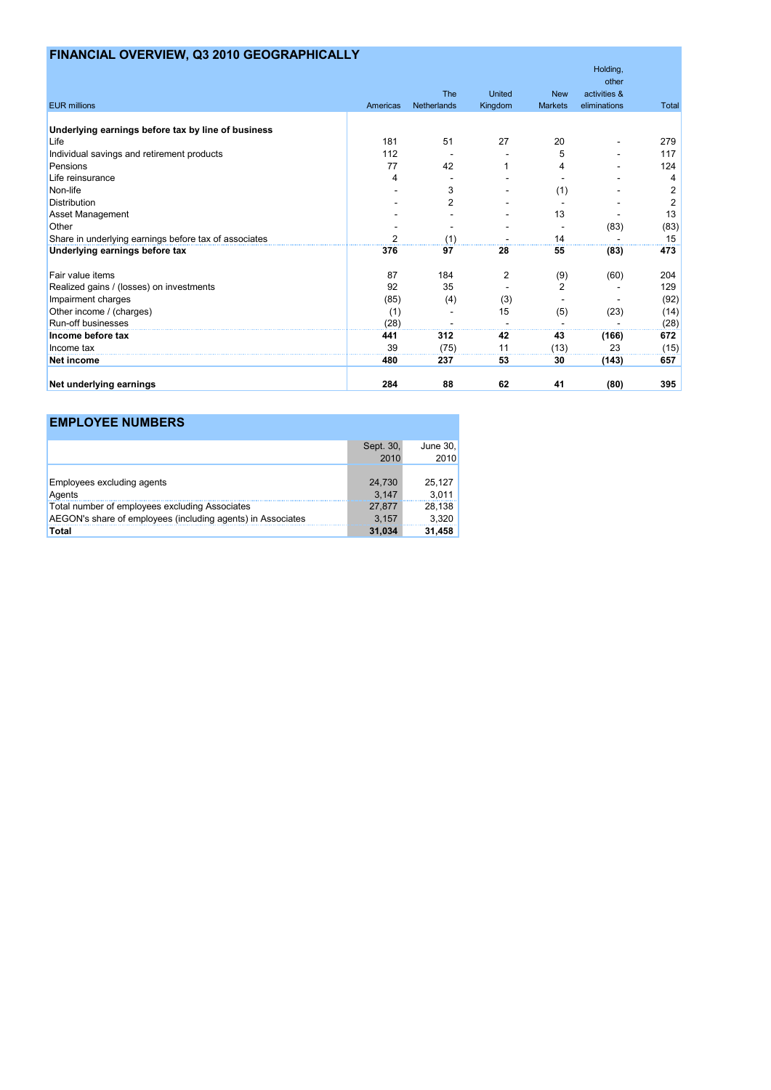## **FINANCIAL OVERVIEW, Q3 2010 GEOGRAPHICALLY**

|                                                       |          |             |               |                | Holding,<br>other |                |
|-------------------------------------------------------|----------|-------------|---------------|----------------|-------------------|----------------|
|                                                       |          | <b>The</b>  | <b>United</b> | <b>New</b>     | activities &      |                |
| <b>EUR millions</b>                                   | Americas | Netherlands | Kingdom       | <b>Markets</b> | eliminations      | Total          |
|                                                       |          |             |               |                |                   |                |
| Underlying earnings before tax by line of business    |          |             |               |                |                   |                |
| Life                                                  | 181      | 51          | 27            | 20             |                   | 279            |
| Individual savings and retirement products            | 112      |             |               | 5              |                   | 117            |
| Pensions                                              | 77       | 42          | 1             | 4              |                   | 124            |
| Life reinsurance                                      | 4        |             |               |                |                   | 4              |
| Non-life                                              |          | 3           |               | (1)            |                   | 2              |
| Distribution                                          |          | 2           |               |                |                   | $\overline{2}$ |
| Asset Management                                      |          |             |               | 13             |                   | 13             |
| Other                                                 |          |             |               |                | (83)              | (83)           |
| Share in underlying earnings before tax of associates | 2        | (1)         |               | 14             |                   | 15             |
| Underlying earnings before tax                        | 376      | 97          | 28            | 55             | (83)              | 473            |
| Fair value items                                      | 87       | 184         | 2             | (9)            | (60)              | 204            |
| Realized gains / (losses) on investments              | 92       | 35          |               | 2              |                   | 129            |
| Impairment charges                                    | (85)     | (4)         | (3)           |                |                   | (92)           |
| Other income / (charges)                              | (1)      |             | 15            | (5)            | (23)              | (14)           |
| Run-off businesses                                    | (28)     |             |               |                |                   | (28)           |
| Income before tax                                     | 441      | 312         | 42            | 43             | (166)             | 672            |
| Income tax                                            | 39       | (75)        | 11            | (13)           | 23                | (15)           |
| <b>Net income</b>                                     | 480      | 237         | 53            | 30             | (143)             | 657            |
| Net underlying earnings                               | 284      | 88          | 62            | 41             | (80)              | 395            |

## **EMPLOYEE NUMBERS**

|                                                             | Sept. 30, | June $30.$ |
|-------------------------------------------------------------|-----------|------------|
|                                                             | 2010      | 2010       |
|                                                             |           |            |
| Employees excluding agents                                  | 24,730    | 25,127     |
| Agents                                                      | 3.147     | 3.011      |
| Total number of employees excluding Associates              | 27,877    | 28,138     |
| AEGON's share of employees (including agents) in Associates | 3.157     | 3,320      |
| Total                                                       | 31,034    | 31,458     |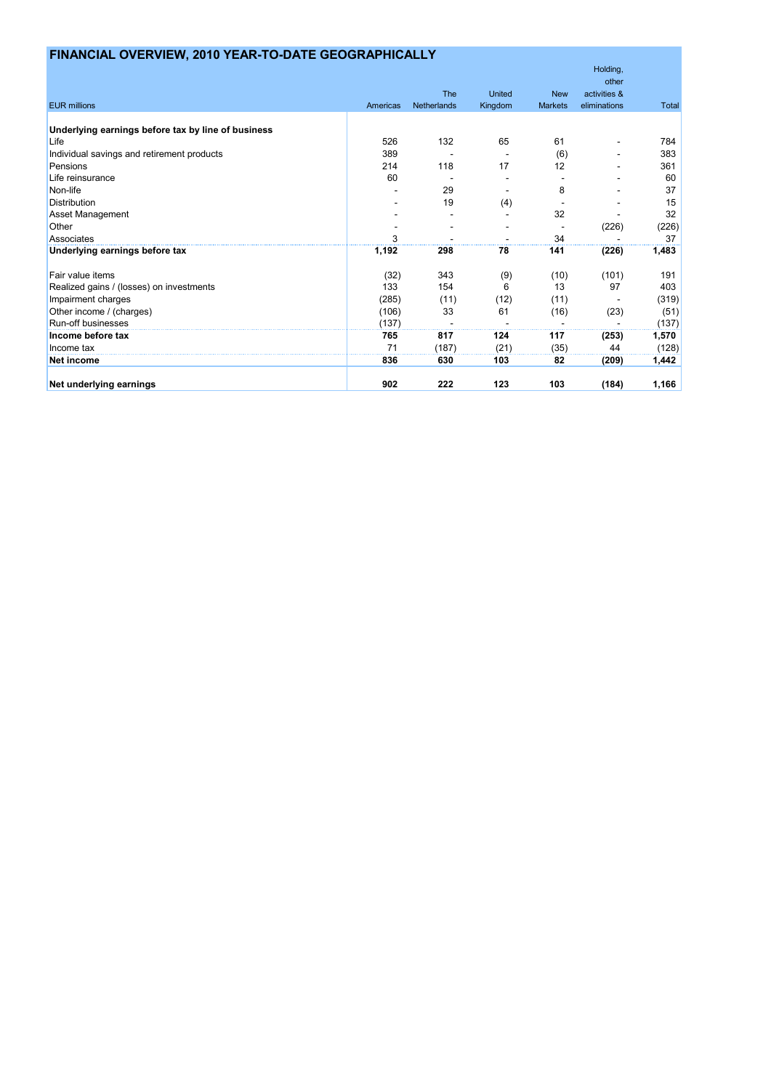# **FINANCIAL OVERVIEW, 2010 YEAR-TO-DATE GEOGRAPHICALLY**

|                                                    |          |                    |               |                | Holding,     |       |
|----------------------------------------------------|----------|--------------------|---------------|----------------|--------------|-------|
|                                                    |          |                    |               |                | other        |       |
|                                                    |          | The                | <b>United</b> | <b>New</b>     | activities & |       |
| <b>EUR millions</b>                                | Americas | <b>Netherlands</b> | Kingdom       | <b>Markets</b> | eliminations | Total |
| Underlying earnings before tax by line of business |          |                    |               |                |              |       |
| Life                                               | 526      | 132                | 65            | 61             |              | 784   |
| Individual savings and retirement products         | 389      |                    |               | (6)            |              | 383   |
| Pensions                                           | 214      | 118                | 17            | 12             |              | 361   |
| Life reinsurance                                   | 60       |                    |               |                |              | 60    |
| Non-life                                           |          | 29                 |               | 8              |              | 37    |
| <b>Distribution</b>                                |          | 19                 | (4)           |                |              | 15    |
| <b>Asset Management</b>                            |          |                    |               | 32             |              | 32    |
| Other                                              |          |                    |               |                | (226)        | (226) |
| Associates                                         | 3        |                    |               | 34             |              | 37    |
| Underlying earnings before tax                     | 1,192    | 298                | 78            | 141            | (226)        | 1,483 |
| Fair value items                                   | (32)     | 343                | (9)           | (10)           | (101)        | 191   |
| Realized gains / (losses) on investments           | 133      | 154                | 6             | 13             | 97           | 403   |
| Impairment charges                                 | (285)    | (11)               | (12)          | (11)           |              | (319) |
| Other income / (charges)                           | (106)    | 33                 | 61            | (16)           | (23)         | (51)  |
| Run-off businesses                                 | (137)    |                    |               |                |              | (137) |
| Income before tax                                  | 765      | 817                | 124           | 117            | (253)        | 1,570 |
| Income tax                                         | 71       | (187)              | (21)          | (35)           | 44           | (128) |
| Net income                                         | 836      | 630                | 103           | 82             | (209)        | 1,442 |
| Net underlying earnings                            | 902      | 222                | 123           | 103            | (184)        | 1,166 |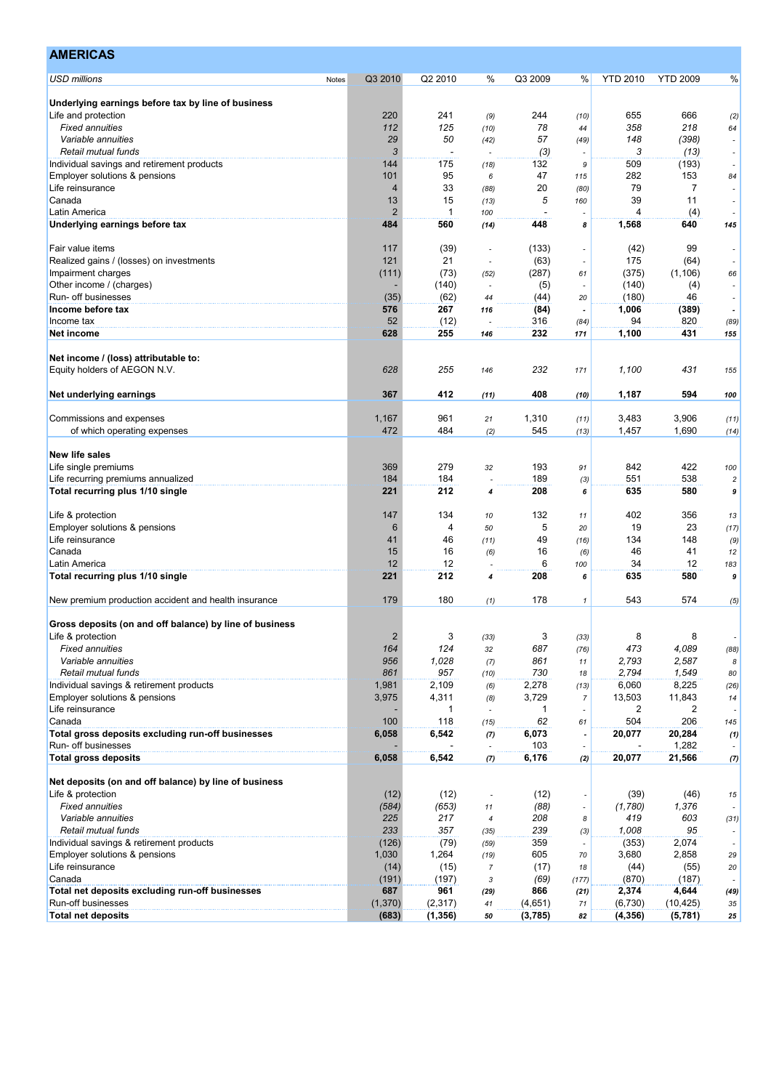| <b>AMERICAS</b>                                                              |       |                         |                          |                          |              |                |                 |                 |                          |
|------------------------------------------------------------------------------|-------|-------------------------|--------------------------|--------------------------|--------------|----------------|-----------------|-----------------|--------------------------|
| <b>USD millions</b>                                                          | Notes | Q3 2010                 | Q2 2010                  | %                        | Q3 2009      | %              | <b>YTD 2010</b> | <b>YTD 2009</b> | %                        |
|                                                                              |       |                         |                          |                          |              |                |                 |                 |                          |
| Underlying earnings before tax by line of business<br>Life and protection    |       | 220                     | 241                      | (9)                      | 244          | (10)           | 655             | 666             | (2)                      |
| <b>Fixed annuities</b>                                                       |       | 112                     | 125                      | (10)                     | 78           | 44             | 358             | 218             | 64                       |
| Variable annuities                                                           |       | 29                      | 50                       | (42)                     | 57           | (49)           | 148             | (398)           | $\overline{\phantom{a}}$ |
| Retail mutual funds                                                          |       | 3                       | $\overline{\phantom{a}}$ |                          | (3)          |                | 3               | (13)            |                          |
| Individual savings and retirement products                                   |       | 144                     | 175                      | (18)                     | 132          | 9              | 509             | (193)           |                          |
| Employer solutions & pensions                                                |       | 101                     | 95                       | 6                        | 47           | 115            | 282             | 153             | 84                       |
| Life reinsurance<br>Canada                                                   |       | $\overline{4}$          | 33                       | (88)                     | 20           | (80)           | 79              | 7               | $\overline{\phantom{a}}$ |
| Latin America                                                                |       | 13<br>$\overline{2}$    | 15<br>$\mathbf{1}$       | (13)<br>100              | 5            | 160            | 39<br>4         | 11<br>(4)       | $\overline{\phantom{a}}$ |
| Underlying earnings before tax                                               |       | 484                     | 560                      | (14)                     | 448          | 8              | 1,568           | 640             | 145                      |
|                                                                              |       |                         |                          |                          |              |                |                 |                 |                          |
| Fair value items                                                             |       | 117                     | (39)                     |                          | (133)        | ÷,             | (42)            | 99              |                          |
| Realized gains / (losses) on investments                                     |       | 121                     | 21                       |                          | (63)         |                | 175             | (64)            |                          |
| Impairment charges                                                           |       | (111)                   | (73)                     | (52)                     | (287)        | 61             | (375)           | (1, 106)        | 66                       |
| Other income / (charges)                                                     |       |                         | (140)                    | $\overline{\phantom{a}}$ | (5)          |                | (140)           | (4)             | $\overline{\phantom{a}}$ |
| Run- off businesses                                                          |       | (35)                    | (62)                     | 44                       | (44)         | 20             | (180)           | 46              | $\overline{\phantom{a}}$ |
| Income before tax                                                            |       | 576                     | 267                      | 116                      | (84)         |                | 1,006<br>94     | (389)           | $\blacksquare$           |
| Income tax<br>Net income                                                     |       | 52<br>628               | (12)<br>255              | 146                      | 316<br>232   | (84)<br>171    | 1,100           | 820<br>431      | (89)<br>155              |
|                                                                              |       |                         |                          |                          |              |                |                 |                 |                          |
| Net income / (loss) attributable to:                                         |       |                         |                          |                          |              |                |                 |                 |                          |
| Equity holders of AEGON N.V.                                                 |       | 628                     | 255                      | 146                      | 232          | 171            | 1,100           | 431             | 155                      |
|                                                                              |       | 367                     | 412                      |                          | 408          |                | 1,187           | 594             |                          |
| Net underlying earnings                                                      |       |                         |                          | (11)                     |              | (10)           |                 |                 | 100                      |
| Commissions and expenses                                                     |       | 1,167                   | 961                      | 21                       | 1,310        | (11)           | 3,483           | 3,906           | (11)                     |
| of which operating expenses                                                  |       | 472                     | 484                      | (2)                      | 545          | (13)           | 1,457           | 1,690           | (14)                     |
| <b>New life sales</b>                                                        |       |                         |                          |                          |              |                |                 |                 |                          |
| Life single premiums                                                         |       | 369                     | 279                      | 32                       | 193          | 91             | 842             | 422             | 100                      |
| Life recurring premiums annualized                                           |       | 184                     | 184                      |                          | 189          | (3)            | 551             | 538             | $\sqrt{2}$               |
| Total recurring plus 1/10 single                                             |       | 221                     | 212                      | 4                        | 208          | 6              | 635             | 580             | 9                        |
|                                                                              |       |                         | 134                      |                          | 132          |                | 402             | 356             |                          |
| Life & protection<br>Employer solutions & pensions                           |       | 147<br>6                | 4                        | 10<br>50                 | 5            | 11<br>20       | 19              | 23              | 13<br>(17)               |
| Life reinsurance                                                             |       | 41                      | 46                       | (11)                     | 49           | (16)           | 134             | 148             | (9)                      |
| Canada                                                                       |       | 15                      | 16                       | (6)                      | 16           | (6)            | 46              | 41              | 12                       |
| Latin America                                                                |       | 12                      | 12                       |                          | 6            | 100            | 34              | 12              | 183                      |
| Total recurring plus 1/10 single                                             |       | 221                     | 212                      | 4                        | 208          | 6              | 635             | 580             | 9                        |
| New premium production accident and health insurance                         |       | 179                     | 180                      | (1)                      | 178          | $\mathbf{1}$   | 543             | 574             | (5)                      |
|                                                                              |       |                         |                          |                          |              |                |                 |                 |                          |
| Gross deposits (on and off balance) by line of business<br>Life & protection |       | $\overline{\mathbf{c}}$ | 3                        |                          | 3            |                | 8               | 8               |                          |
| <b>Fixed annuities</b>                                                       |       | 164                     | 124                      | (33)<br>32               | 687          | (33)<br>(76)   | 473             | 4,089           | (88)                     |
| Variable annuities                                                           |       | 956                     | 1,028                    | (7)                      | 861          | 11             | 2,793           | 2,587           | 8                        |
| Retail mutual funds                                                          |       | 861                     | 957                      | (10)                     | 730          | 18             | 2,794           | 1,549           | 80                       |
| Individual savings & retirement products                                     |       | 1,981                   | 2,109                    | (6)                      | 2,278        | (13)           | 6,060           | 8,225           | (26)                     |
| Employer solutions & pensions                                                |       | 3,975                   | 4,311                    | (8)                      | 3,729        | $\overline{7}$ | 13,503          | 11,843          | $\sqrt{14}$              |
| Life reinsurance                                                             |       |                         | 1                        |                          | 1            |                | 2               | 2               |                          |
| Canada                                                                       |       | 100                     | 118                      | (15)                     | 62           | 61             | 504             | 206             | 145                      |
| Total gross deposits excluding run-off businesses                            |       | 6,058                   | 6,542                    | (7)                      | 6,073        |                | 20,077          | 20,284          | (1)                      |
| Run- off businesses<br><b>Total gross deposits</b>                           |       | 6,058                   | 6,542                    |                          | 103<br>6,176 |                | 20,077          | 1,282<br>21,566 |                          |
|                                                                              |       |                         |                          | (7)                      |              | (2)            |                 |                 | (7)                      |
| Net deposits (on and off balance) by line of business                        |       |                         |                          |                          |              |                |                 |                 |                          |
| Life & protection                                                            |       | (12)                    | (12)                     |                          | (12)         |                | (39)            | (46)            | 15                       |
| <b>Fixed annuities</b><br>Variable annuities                                 |       | (584)                   | (653)                    | 11                       | (88)         | ä,             | (1,780)         | 1,376           |                          |
| Retail mutual funds                                                          |       | 225<br>233              | 217<br>357               | $\boldsymbol{4}$         | 208<br>239   | 8              | 419<br>1,008    | 603<br>95       | (31)                     |
| Individual savings & retirement products                                     |       | (126)                   | (79)                     | (35)<br>(59)             | 359          | (3)            | (353)           | 2,074           |                          |
| Employer solutions & pensions                                                |       | 1,030                   | 1,264                    | (19)                     | 605          | 70             | 3,680           | 2,858           | 29                       |
| Life reinsurance                                                             |       | (14)                    | (15)                     | 7                        | (17)         | 18             | (44)            | (55)            | 20                       |
| Canada                                                                       |       | (191)                   | (197)                    | 3                        | (69)         | (177)          | (870)           | (187)           |                          |
| Total net deposits excluding run-off businesses                              |       | 687                     | 961                      | (29)                     | 866          | (21)           | 2,374           | 4,644           | (49)                     |
| Run-off businesses                                                           |       | (1, 370)                | (2, 317)                 | 41                       | (4,651)      | 71             | (6,730)         | (10, 425)       | 35                       |
| <b>Total net deposits</b>                                                    |       | (683)                   | (1, 356)                 | 50                       | (3,785)      | 82             | (4, 356)        | (5,781)         | 25                       |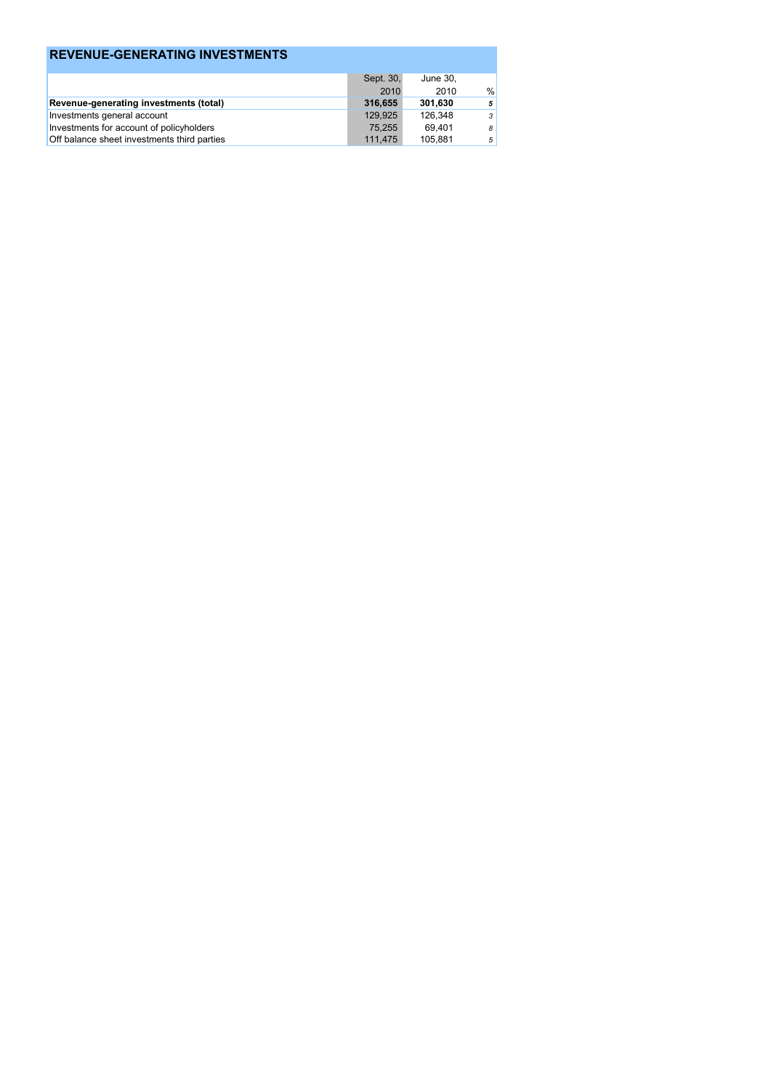| <b>REVENUE-GENERATING INVESTMENTS</b>       |           |          |   |  |  |  |  |  |
|---------------------------------------------|-----------|----------|---|--|--|--|--|--|
|                                             | Sept. 30, | June 30, |   |  |  |  |  |  |
|                                             | 2010      | 2010     | % |  |  |  |  |  |
| Revenue-generating investments (total)      | 316,655   | 301.630  | 5 |  |  |  |  |  |
| Investments general account                 | 129.925   | 126.348  | 3 |  |  |  |  |  |
| Investments for account of policyholders    | 75.255    | 69.401   | 8 |  |  |  |  |  |
| Off balance sheet investments third parties | 111.475   | 105.881  | 5 |  |  |  |  |  |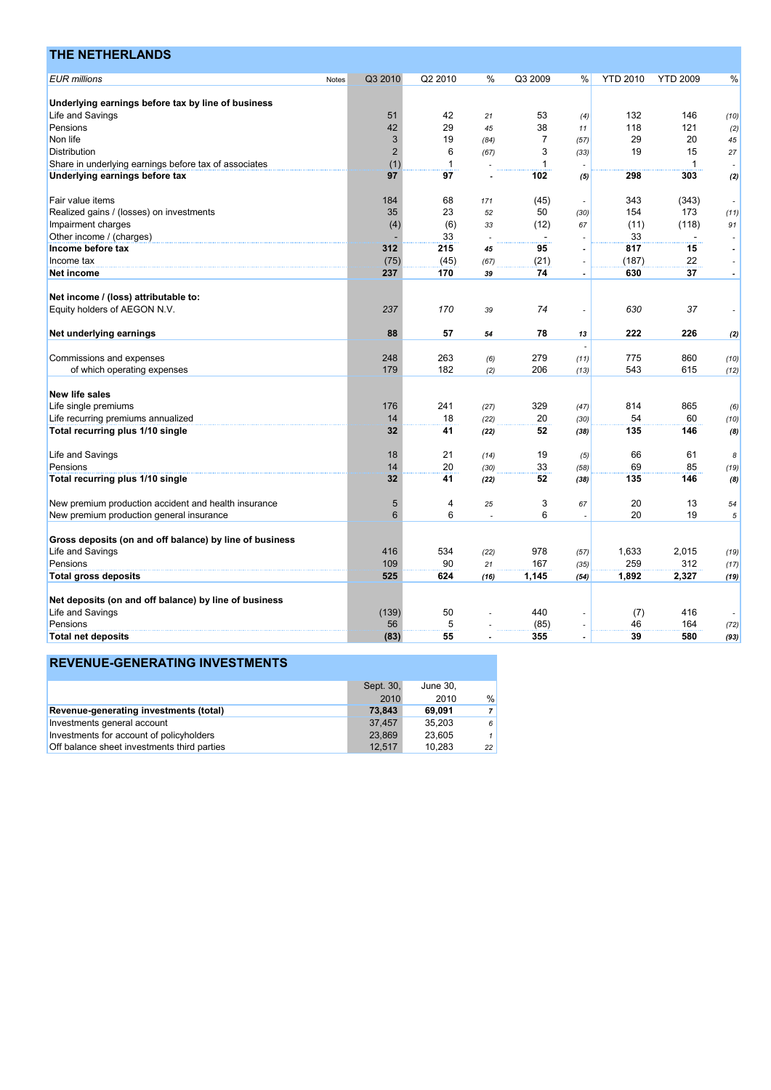| THE NETHERLANDS                                         |       |                |         |                |         |                          |                 |                 |                          |
|---------------------------------------------------------|-------|----------------|---------|----------------|---------|--------------------------|-----------------|-----------------|--------------------------|
| <b>EUR</b> millions                                     | Notes | Q3 2010        | Q2 2010 | %              | Q3 2009 | %                        | <b>YTD 2010</b> | <b>YTD 2009</b> | $\%$                     |
|                                                         |       |                |         |                |         |                          |                 |                 |                          |
| Underlying earnings before tax by line of business      |       |                |         |                |         |                          |                 |                 |                          |
| Life and Savings                                        |       | 51             | 42      | 21             | 53      | (4)                      | 132             | 146             | (10)                     |
| Pensions                                                |       | 42             | 29      | 45             | 38      | 11                       | 118             | 121             | (2)                      |
| Non life                                                |       | 3              | 19      | (84)           | 7       | (57)                     | 29              | 20              | 45                       |
| Distribution                                            |       | $\overline{2}$ | 6       | (67)           | 3       | (33)                     | 19              | 15              | 27                       |
| Share in underlying earnings before tax of associates   |       | (1)            | 1       |                | 1       |                          |                 | $\mathbf{1}$    |                          |
| Underlying earnings before tax                          |       | 97             | 97      | $\overline{a}$ | 102     | (5)                      | 298             | 303             | (2)                      |
| Fair value items                                        |       | 184            | 68      | 171            | (45)    |                          | 343             | (343)           | ä,                       |
| Realized gains / (losses) on investments                |       | 35             | 23      | 52             | 50      | (30)                     | 154             | 173             | (11)                     |
| Impairment charges                                      |       | (4)            | (6)     | 33             | (12)    | 67                       | (11)            | (118)           | 91                       |
| Other income / (charges)                                |       |                | 33      |                |         |                          | 33              |                 |                          |
| Income before tax                                       |       | 312            | 215     | 45             | 95      |                          | 817             | 15              |                          |
| Income tax                                              |       | (75)           | (45)    | (67)           | (21)    |                          | (187)           | 22              | $\blacksquare$           |
| Net income                                              |       | 237            | 170     | 39             | 74      | $\overline{\phantom{a}}$ | 630             | 37              | $\overline{\phantom{a}}$ |
| Net income / (loss) attributable to:                    |       |                |         |                |         |                          |                 |                 |                          |
| Equity holders of AEGON N.V.                            |       | 237            | 170     | 39             | 74      |                          | 630             | 37              | ä,                       |
|                                                         |       |                |         |                |         |                          |                 |                 |                          |
| Net underlying earnings                                 |       | 88             | 57      | 54             | 78      | 13                       | 222             | 226             | (2)                      |
| Commissions and expenses                                |       | 248            | 263     | (6)            | 279     | (11)                     | 775             | 860             | (10)                     |
| of which operating expenses                             |       | 179            | 182     | (2)            | 206     | (13)                     | 543             | 615             | (12)                     |
| <b>New life sales</b>                                   |       |                |         |                |         |                          |                 |                 |                          |
| Life single premiums                                    |       | 176            | 241     | (27)           | 329     | (47)                     | 814             | 865             | (6)                      |
| Life recurring premiums annualized                      |       | 14             | 18      | (22)           | 20      | (30)                     | 54              | 60              | (10)                     |
| Total recurring plus 1/10 single                        |       | 32             | 41      | (22)           | 52      | (38)                     | 135             | 146             | (8)                      |
|                                                         |       |                |         |                |         |                          |                 |                 |                          |
| Life and Savings                                        |       | 18             | 21      | (14)           | 19      | (5)                      | 66              | 61              | 8                        |
| Pensions                                                |       | 14             | 20      | (30)           | 33      | (58)                     | 69              | 85              | (19)                     |
| Total recurring plus 1/10 single                        |       | 32             | 41      | (22)           | 52      | (38)                     | 135             | 146             | (8)                      |
| New premium production accident and health insurance    |       | 5              | 4       | 25             | 3       | 67                       | 20              | 13              | 54                       |
| New premium production general insurance                |       | 6              | 6       |                | 6       |                          | 20              | 19              | 5                        |
| Gross deposits (on and off balance) by line of business |       |                |         |                |         |                          |                 |                 |                          |
| Life and Savings                                        |       | 416            | 534     | (22)           | 978     | (57)                     | 1,633           | 2,015           | (19)                     |
| Pensions                                                |       | 109            | 90      | 21             | 167     | (35)                     | 259             | 312             | (17)                     |
| <b>Total gross deposits</b>                             |       | 525            | 624     | (16)           | 1,145   | (54)                     | 1,892           | 2,327           | (19)                     |
|                                                         |       |                |         |                |         |                          |                 |                 |                          |
| Net deposits (on and off balance) by line of business   |       |                |         |                |         |                          |                 |                 |                          |
| Life and Savings                                        |       | (139)          | 50      |                | 440     |                          | (7)             | 416             |                          |
| Pensions                                                |       | 56             | 5       |                | (85)    |                          | 46              | 164             | (72)                     |
| <b>Total net deposits</b>                               |       | (83)           | 55      |                | 355     | $\overline{\phantom{a}}$ | 39              | 580             | (93)                     |

|                                             | Sept. 30, | June 30. |               |
|---------------------------------------------|-----------|----------|---------------|
|                                             | 2010      | 2010     | $\frac{0}{6}$ |
| Revenue-generating investments (total)      | 73.843    | 69.091   |               |
| Investments general account                 | 37.457    | 35.203   | 6             |
| Investments for account of policyholders    | 23.869    | 23.605   |               |
| Off balance sheet investments third parties | 12.517    | 10.283   | 22            |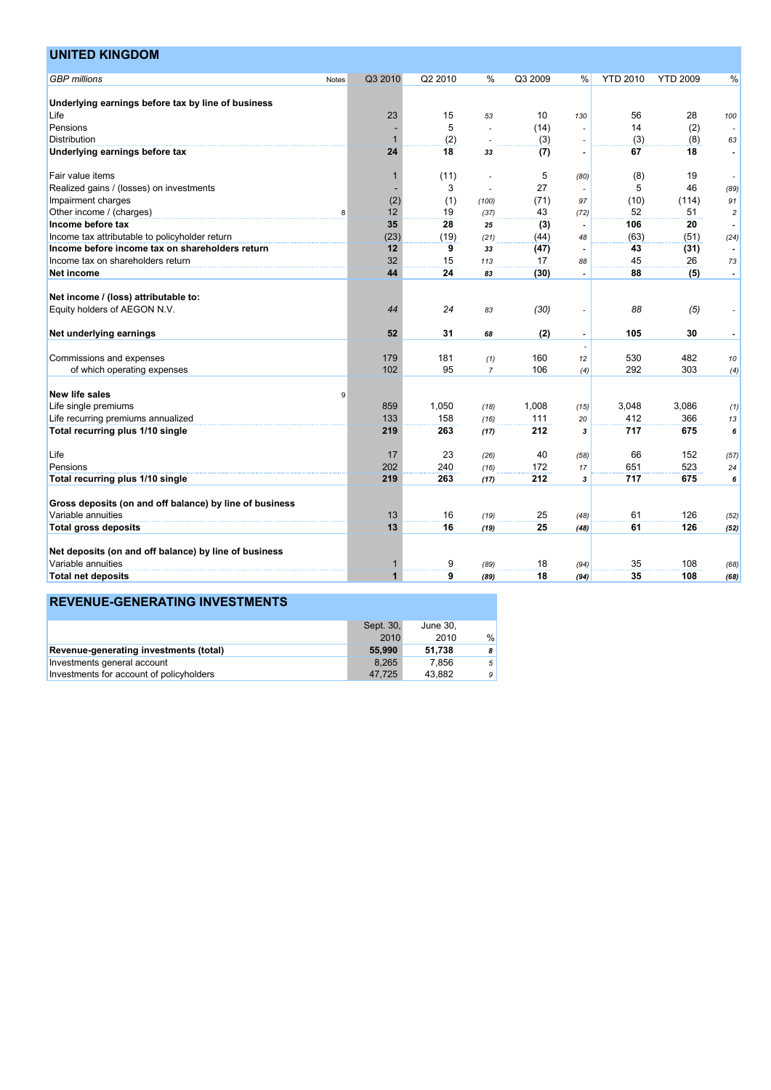| UNITED KINGDOM                                                         |       |              |              |                          |            |                |                 |                 |                                |
|------------------------------------------------------------------------|-------|--------------|--------------|--------------------------|------------|----------------|-----------------|-----------------|--------------------------------|
| <b>GBP</b> millions                                                    | Notes | Q3 2010      | Q2 2010      | %                        | Q3 2009    | %              | <b>YTD 2010</b> | <b>YTD 2009</b> | %                              |
|                                                                        |       |              |              |                          |            |                |                 |                 |                                |
| Underlying earnings before tax by line of business                     |       |              |              |                          |            |                |                 |                 |                                |
| Life                                                                   |       | 23           | 15           | 53                       | 10         | 130            | 56              | 28              | 100                            |
| Pensions<br><b>Distribution</b>                                        |       | $\mathbf{1}$ | 5<br>(2)     | $\overline{\phantom{a}}$ | (14)       |                | 14              | (2)<br>(8)      | $\overline{\phantom{a}}$<br>63 |
| Underlying earnings before tax                                         |       | 24           | 18           | 33                       | (3)<br>(7) |                | (3)<br>67       | 18              |                                |
|                                                                        |       |              |              |                          |            |                |                 |                 |                                |
| Fair value items                                                       |       |              | (11)         |                          | 5          | (80)           | (8)             | 19              | $\overline{\phantom{a}}$       |
| Realized gains / (losses) on investments                               |       |              | 3            | $\sim$                   | 27         |                | 5               | 46              | (89)                           |
| Impairment charges                                                     |       | (2)          | (1)          | (100)                    | (71)       | 97             | (10)            | (114)           | 91                             |
| Other income / (charges)                                               | 8     | 12           | 19           | (37)                     | 43         | (72)           | 52              | 51              | $\overline{\mathbf{c}}$        |
| Income before tax                                                      |       | 35           | 28           | 25                       | (3)        |                | 106             | 20              | $\overline{\phantom{a}}$       |
| Income tax attributable to policyholder return                         |       | (23)         | (19)         | (21)                     | (44)       | 48             | (63)            | (51)            | (24)                           |
| Income before income tax on shareholders return                        |       | 12           | 9            | 33                       | (47)       |                | 43              | (31)            | $\blacksquare$                 |
| Income tax on shareholders return                                      |       | 32           | 15           | 113                      | 17         | 88             | 45              | 26              | 73                             |
| Net income                                                             |       | 44           | 24           | 83                       | (30)       |                | 88              | (5)             | $\blacksquare$                 |
|                                                                        |       |              |              |                          |            |                |                 |                 |                                |
| Net income / (loss) attributable to:                                   |       |              |              |                          |            |                |                 |                 |                                |
| Equity holders of AEGON N.V.                                           |       | 44           | 24           | 83                       | (30)       |                | 88              | (5)             |                                |
| Net underlying earnings                                                |       | 52           | 31           | 68                       | (2)        | $\blacksquare$ | 105             | 30              | $\blacksquare$                 |
|                                                                        |       |              |              |                          |            |                |                 |                 |                                |
| Commissions and expenses                                               |       | 179          | 181          | (1)                      | 160        | 12             | 530             | 482             | 10                             |
| of which operating expenses                                            |       | 102          | 95           | $\overline{7}$           | 106        | (4)            | 292             | 303             | (4)                            |
|                                                                        |       |              |              |                          |            |                |                 |                 |                                |
| New life sales                                                         | 9     |              |              |                          |            |                |                 |                 |                                |
| Life single premiums                                                   |       | 859<br>133   | 1,050<br>158 | (18)                     | 1,008      | (15)           | 3.048<br>412    | 3,086<br>366    | (1)                            |
| Life recurring premiums annualized<br>Total recurring plus 1/10 single |       | 219          | 263          | (16)                     | 111<br>212 | 20<br>3        | 717             | 675             | 13<br>6                        |
|                                                                        |       |              |              | (17)                     |            |                |                 |                 |                                |
| Life                                                                   |       | 17           | 23           | (26)                     | 40         | (58)           | 66              | 152             | (57)                           |
| Pensions                                                               |       | 202          | 240          | (16)                     | 172        | 17             | 651             | 523             | 24                             |
| Total recurring plus 1/10 single                                       |       | 219          | 263          | (17)                     | 212        | 3              | 717             | 675             | 6                              |
|                                                                        |       |              |              |                          |            |                |                 |                 |                                |
| Gross deposits (on and off balance) by line of business                |       |              |              |                          |            |                |                 |                 |                                |
| Variable annuities                                                     |       | 13           | 16           | (19)                     | 25         | (48)           | 61              | 126             | (52)                           |
| <b>Total gross deposits</b>                                            |       | 13           | 16           | (19)                     | 25         | (48)           | 61              | 126             | (52)                           |
|                                                                        |       |              |              |                          |            |                |                 |                 |                                |
| Net deposits (on and off balance) by line of business                  |       |              |              |                          |            |                |                 |                 |                                |
| Variable annuities                                                     |       |              | 9            | (89)                     | 18         | (94)           | 35              | 108             | (68)                           |
| <b>Total net deposits</b>                                              |       | 1            | 9            | (89)                     | 18         | (94)           | 35              | 108             | (68)                           |

**UNITED KINGDOM**

|                                          | Sept. 30, | June 30. |               |
|------------------------------------------|-----------|----------|---------------|
|                                          | 2010      | 2010     | $\frac{0}{0}$ |
| Revenue-generating investments (total)   | 55,990    | 51.738   | 8             |
| Investments general account              | 8.265     | 7.856    | 5             |
| Investments for account of policyholders | 47.725    | 43.882   | 9             |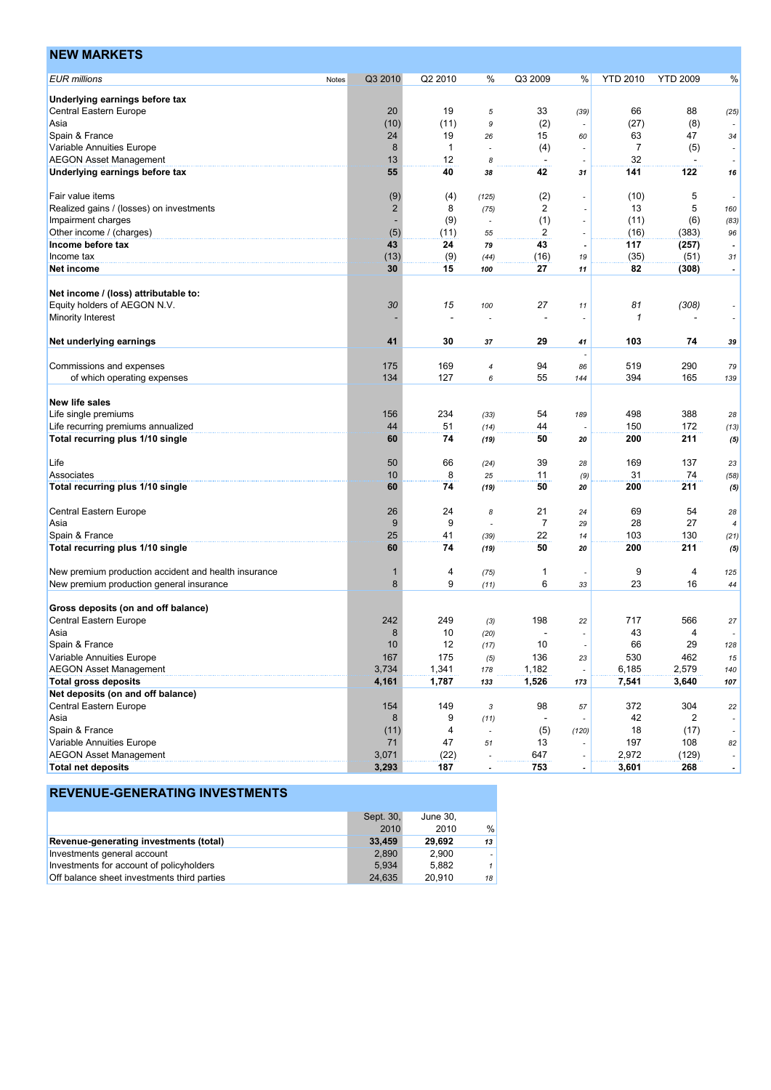| Q2 2010<br><b>EUR millions</b><br>Q3 2010<br>%<br>Q3 2009<br>%<br><b>YTD 2010</b><br><b>YTD 2009</b><br>%<br>Notes<br>Underlying earnings before tax<br>Central Eastern Europe<br>20<br>19<br>33<br>66<br>88<br>5<br>(39)<br>(25)<br>Asia<br>(10)<br>(11)<br>(2)<br>(27)<br>(8)<br>9<br>19<br>63<br>Spain & France<br>24<br>15<br>47<br>34<br>26<br>60<br>8<br>$\mathbf{1}$<br>7<br>Variable Annuities Europe<br>(4)<br>(5)<br>$\overline{\phantom{a}}$<br>13<br>12<br>32<br><b>AEGON Asset Management</b><br>8<br>٠<br>55<br>40<br>42<br>141<br>122<br>Underlying earnings before tax<br>38<br>31<br>16<br>5<br>Fair value items<br>(9)<br>(2)<br>(10)<br>(4)<br>(125)<br>$\overline{\phantom{a}}$<br>٠<br>2<br>5<br>Realized gains / (losses) on investments<br>2<br>8<br>13<br>(75)<br>160<br>$\overline{\phantom{a}}$<br>(9)<br>(1)<br>Impairment charges<br>(11)<br>(6)<br>(83)<br>Other income / (charges)<br>(5)<br>2<br>(16)<br>(383)<br>(11)<br>96<br>55<br>43<br>24<br>43<br>117<br>Income before tax<br>(257)<br>79<br>$\tilde{\phantom{a}}$<br>(35)<br>Income tax<br>(13)<br>(9)<br>(16)<br>(51)<br>19<br>(44)<br>31<br>30<br>27<br>82<br>(308)<br>15<br>Net income<br>100<br>11<br>$\blacksquare$<br>Net income / (loss) attributable to:<br>Equity holders of AEGON N.V.<br>30<br>15<br>27<br>81<br>(308)<br>100<br>11<br><b>Minority Interest</b><br>1<br>103<br>41<br>30<br>29<br>74<br>Net underlying earnings<br>37<br>41<br>39<br>94<br>519<br>290<br>Commissions and expenses<br>175<br>169<br>4<br>86<br>79<br>134<br>127<br>55<br>394<br>165<br>of which operating expenses<br>6<br>144<br>139<br><b>New life sales</b><br>498<br>Life single premiums<br>156<br>234<br>54<br>388<br>189<br>28<br>(33)<br>51<br>150<br>172<br>Life recurring premiums annualized<br>44<br>44<br>(14)<br>(13)<br>60<br>74<br>200<br>211<br>Total recurring plus 1/10 single<br>50<br>(19)<br>20<br>(5)<br>169<br>Life<br>50<br>66<br>39<br>137<br>23<br>(24)<br>28<br>10<br>8<br>31<br>74<br>Associates<br>11<br>25<br>(9)<br>(58)<br>74<br>50<br>200<br>211<br>Total recurring plus 1/10 single<br>60<br>(19)<br>20<br>(5)<br>Central Eastern Europe<br>26<br>24<br>21<br>69<br>54<br>28<br>8<br>24<br>9<br>9<br>$\overline{7}$<br>28<br>27<br>Asia<br>29<br>$\pmb{4}$<br>25<br>22<br>103<br>130<br>Spain & France<br>41<br>(39)<br>14<br>(21)<br>74<br>60<br>50<br>200<br>211<br>Total recurring plus 1/10 single<br>(19)<br>20<br>(5)<br>New premium production accident and health insurance<br>4<br>1<br>9<br>$\overline{4}$<br>1<br>(75)<br>125<br>9<br>8<br>6<br>23<br>16<br>New premium production general insurance<br>(11)<br>33<br>44<br>Gross deposits (on and off balance)<br>242<br>249<br>198<br>717<br>566<br>Central Eastern Europe<br>22<br>27<br>(3)<br>10<br>Asia<br>8<br>43<br>4<br>(20)<br>$\sim$<br>÷,<br>12<br>29<br>Spain & France<br>10<br>10<br>66<br>(17)<br>128<br>Variable Annuities Europe<br>167<br>175<br>136<br>530<br>462<br>15<br>(5)<br>23<br>1,341<br>6,185<br>2,579<br><b>AEGON Asset Management</b><br>3,734<br>1,182<br>178<br>140<br>4,161<br><b>Total gross deposits</b><br>1,787<br>1,526<br>7,541<br>3,640<br>133<br>173<br>107<br>Net deposits (on and off balance)<br>Central Eastern Europe<br>154<br>149<br>98<br>372<br>304<br>22<br>57<br>3<br>Asia<br>8<br>9<br>42<br>2<br>(11)<br>$\overline{\phantom{a}}$<br>$\overline{\phantom{a}}$<br>Spain & France<br>4<br>(5)<br>18<br>(17)<br>(11)<br>(120)<br>$\overline{\phantom{a}}$<br>Variable Annuities Europe<br>71<br>47<br>13<br>197<br>108<br>51<br>82<br><b>AEGON Asset Management</b><br>3,071<br>647<br>2,972<br>(22)<br>(129)<br>$\overline{\phantom{a}}$<br>$\overline{\phantom{a}}$<br><b>Total net deposits</b><br>3,293<br>753<br>3,601<br>268<br>187<br>$\blacksquare$<br>$\blacksquare$<br>$\overline{a}$ | <b>NEW MARKETS</b> |  |  |  |  |  |
|---------------------------------------------------------------------------------------------------------------------------------------------------------------------------------------------------------------------------------------------------------------------------------------------------------------------------------------------------------------------------------------------------------------------------------------------------------------------------------------------------------------------------------------------------------------------------------------------------------------------------------------------------------------------------------------------------------------------------------------------------------------------------------------------------------------------------------------------------------------------------------------------------------------------------------------------------------------------------------------------------------------------------------------------------------------------------------------------------------------------------------------------------------------------------------------------------------------------------------------------------------------------------------------------------------------------------------------------------------------------------------------------------------------------------------------------------------------------------------------------------------------------------------------------------------------------------------------------------------------------------------------------------------------------------------------------------------------------------------------------------------------------------------------------------------------------------------------------------------------------------------------------------------------------------------------------------------------------------------------------------------------------------------------------------------------------------------------------------------------------------------------------------------------------------------------------------------------------------------------------------------------------------------------------------------------------------------------------------------------------------------------------------------------------------------------------------------------------------------------------------------------------------------------------------------------------------------------------------------------------------------------------------------------------------------------------------------------------------------------------------------------------------------------------------------------------------------------------------------------------------------------------------------------------------------------------------------------------------------------------------------------------------------------------------------------------------------------------------------------------------------------------------------------------------------------------------------------------------------------------------------------------------------------------------------------------------------------------------------------------------------------------------------------------------------------------------------------------------------------------------------------------------------------------------------------------------------------------------------------------------------------------------------------------------------------------------------------------------------------------------------------------------------------------------------------------------------|--------------------|--|--|--|--|--|
|                                                                                                                                                                                                                                                                                                                                                                                                                                                                                                                                                                                                                                                                                                                                                                                                                                                                                                                                                                                                                                                                                                                                                                                                                                                                                                                                                                                                                                                                                                                                                                                                                                                                                                                                                                                                                                                                                                                                                                                                                                                                                                                                                                                                                                                                                                                                                                                                                                                                                                                                                                                                                                                                                                                                                                                                                                                                                                                                                                                                                                                                                                                                                                                                                                                                                                                                                                                                                                                                                                                                                                                                                                                                                                                                                                                                                                 |                    |  |  |  |  |  |
|                                                                                                                                                                                                                                                                                                                                                                                                                                                                                                                                                                                                                                                                                                                                                                                                                                                                                                                                                                                                                                                                                                                                                                                                                                                                                                                                                                                                                                                                                                                                                                                                                                                                                                                                                                                                                                                                                                                                                                                                                                                                                                                                                                                                                                                                                                                                                                                                                                                                                                                                                                                                                                                                                                                                                                                                                                                                                                                                                                                                                                                                                                                                                                                                                                                                                                                                                                                                                                                                                                                                                                                                                                                                                                                                                                                                                                 |                    |  |  |  |  |  |
|                                                                                                                                                                                                                                                                                                                                                                                                                                                                                                                                                                                                                                                                                                                                                                                                                                                                                                                                                                                                                                                                                                                                                                                                                                                                                                                                                                                                                                                                                                                                                                                                                                                                                                                                                                                                                                                                                                                                                                                                                                                                                                                                                                                                                                                                                                                                                                                                                                                                                                                                                                                                                                                                                                                                                                                                                                                                                                                                                                                                                                                                                                                                                                                                                                                                                                                                                                                                                                                                                                                                                                                                                                                                                                                                                                                                                                 |                    |  |  |  |  |  |
|                                                                                                                                                                                                                                                                                                                                                                                                                                                                                                                                                                                                                                                                                                                                                                                                                                                                                                                                                                                                                                                                                                                                                                                                                                                                                                                                                                                                                                                                                                                                                                                                                                                                                                                                                                                                                                                                                                                                                                                                                                                                                                                                                                                                                                                                                                                                                                                                                                                                                                                                                                                                                                                                                                                                                                                                                                                                                                                                                                                                                                                                                                                                                                                                                                                                                                                                                                                                                                                                                                                                                                                                                                                                                                                                                                                                                                 |                    |  |  |  |  |  |
|                                                                                                                                                                                                                                                                                                                                                                                                                                                                                                                                                                                                                                                                                                                                                                                                                                                                                                                                                                                                                                                                                                                                                                                                                                                                                                                                                                                                                                                                                                                                                                                                                                                                                                                                                                                                                                                                                                                                                                                                                                                                                                                                                                                                                                                                                                                                                                                                                                                                                                                                                                                                                                                                                                                                                                                                                                                                                                                                                                                                                                                                                                                                                                                                                                                                                                                                                                                                                                                                                                                                                                                                                                                                                                                                                                                                                                 |                    |  |  |  |  |  |
|                                                                                                                                                                                                                                                                                                                                                                                                                                                                                                                                                                                                                                                                                                                                                                                                                                                                                                                                                                                                                                                                                                                                                                                                                                                                                                                                                                                                                                                                                                                                                                                                                                                                                                                                                                                                                                                                                                                                                                                                                                                                                                                                                                                                                                                                                                                                                                                                                                                                                                                                                                                                                                                                                                                                                                                                                                                                                                                                                                                                                                                                                                                                                                                                                                                                                                                                                                                                                                                                                                                                                                                                                                                                                                                                                                                                                                 |                    |  |  |  |  |  |
|                                                                                                                                                                                                                                                                                                                                                                                                                                                                                                                                                                                                                                                                                                                                                                                                                                                                                                                                                                                                                                                                                                                                                                                                                                                                                                                                                                                                                                                                                                                                                                                                                                                                                                                                                                                                                                                                                                                                                                                                                                                                                                                                                                                                                                                                                                                                                                                                                                                                                                                                                                                                                                                                                                                                                                                                                                                                                                                                                                                                                                                                                                                                                                                                                                                                                                                                                                                                                                                                                                                                                                                                                                                                                                                                                                                                                                 |                    |  |  |  |  |  |
|                                                                                                                                                                                                                                                                                                                                                                                                                                                                                                                                                                                                                                                                                                                                                                                                                                                                                                                                                                                                                                                                                                                                                                                                                                                                                                                                                                                                                                                                                                                                                                                                                                                                                                                                                                                                                                                                                                                                                                                                                                                                                                                                                                                                                                                                                                                                                                                                                                                                                                                                                                                                                                                                                                                                                                                                                                                                                                                                                                                                                                                                                                                                                                                                                                                                                                                                                                                                                                                                                                                                                                                                                                                                                                                                                                                                                                 |                    |  |  |  |  |  |
|                                                                                                                                                                                                                                                                                                                                                                                                                                                                                                                                                                                                                                                                                                                                                                                                                                                                                                                                                                                                                                                                                                                                                                                                                                                                                                                                                                                                                                                                                                                                                                                                                                                                                                                                                                                                                                                                                                                                                                                                                                                                                                                                                                                                                                                                                                                                                                                                                                                                                                                                                                                                                                                                                                                                                                                                                                                                                                                                                                                                                                                                                                                                                                                                                                                                                                                                                                                                                                                                                                                                                                                                                                                                                                                                                                                                                                 |                    |  |  |  |  |  |
|                                                                                                                                                                                                                                                                                                                                                                                                                                                                                                                                                                                                                                                                                                                                                                                                                                                                                                                                                                                                                                                                                                                                                                                                                                                                                                                                                                                                                                                                                                                                                                                                                                                                                                                                                                                                                                                                                                                                                                                                                                                                                                                                                                                                                                                                                                                                                                                                                                                                                                                                                                                                                                                                                                                                                                                                                                                                                                                                                                                                                                                                                                                                                                                                                                                                                                                                                                                                                                                                                                                                                                                                                                                                                                                                                                                                                                 |                    |  |  |  |  |  |
|                                                                                                                                                                                                                                                                                                                                                                                                                                                                                                                                                                                                                                                                                                                                                                                                                                                                                                                                                                                                                                                                                                                                                                                                                                                                                                                                                                                                                                                                                                                                                                                                                                                                                                                                                                                                                                                                                                                                                                                                                                                                                                                                                                                                                                                                                                                                                                                                                                                                                                                                                                                                                                                                                                                                                                                                                                                                                                                                                                                                                                                                                                                                                                                                                                                                                                                                                                                                                                                                                                                                                                                                                                                                                                                                                                                                                                 |                    |  |  |  |  |  |
|                                                                                                                                                                                                                                                                                                                                                                                                                                                                                                                                                                                                                                                                                                                                                                                                                                                                                                                                                                                                                                                                                                                                                                                                                                                                                                                                                                                                                                                                                                                                                                                                                                                                                                                                                                                                                                                                                                                                                                                                                                                                                                                                                                                                                                                                                                                                                                                                                                                                                                                                                                                                                                                                                                                                                                                                                                                                                                                                                                                                                                                                                                                                                                                                                                                                                                                                                                                                                                                                                                                                                                                                                                                                                                                                                                                                                                 |                    |  |  |  |  |  |
|                                                                                                                                                                                                                                                                                                                                                                                                                                                                                                                                                                                                                                                                                                                                                                                                                                                                                                                                                                                                                                                                                                                                                                                                                                                                                                                                                                                                                                                                                                                                                                                                                                                                                                                                                                                                                                                                                                                                                                                                                                                                                                                                                                                                                                                                                                                                                                                                                                                                                                                                                                                                                                                                                                                                                                                                                                                                                                                                                                                                                                                                                                                                                                                                                                                                                                                                                                                                                                                                                                                                                                                                                                                                                                                                                                                                                                 |                    |  |  |  |  |  |
|                                                                                                                                                                                                                                                                                                                                                                                                                                                                                                                                                                                                                                                                                                                                                                                                                                                                                                                                                                                                                                                                                                                                                                                                                                                                                                                                                                                                                                                                                                                                                                                                                                                                                                                                                                                                                                                                                                                                                                                                                                                                                                                                                                                                                                                                                                                                                                                                                                                                                                                                                                                                                                                                                                                                                                                                                                                                                                                                                                                                                                                                                                                                                                                                                                                                                                                                                                                                                                                                                                                                                                                                                                                                                                                                                                                                                                 |                    |  |  |  |  |  |
|                                                                                                                                                                                                                                                                                                                                                                                                                                                                                                                                                                                                                                                                                                                                                                                                                                                                                                                                                                                                                                                                                                                                                                                                                                                                                                                                                                                                                                                                                                                                                                                                                                                                                                                                                                                                                                                                                                                                                                                                                                                                                                                                                                                                                                                                                                                                                                                                                                                                                                                                                                                                                                                                                                                                                                                                                                                                                                                                                                                                                                                                                                                                                                                                                                                                                                                                                                                                                                                                                                                                                                                                                                                                                                                                                                                                                                 |                    |  |  |  |  |  |
|                                                                                                                                                                                                                                                                                                                                                                                                                                                                                                                                                                                                                                                                                                                                                                                                                                                                                                                                                                                                                                                                                                                                                                                                                                                                                                                                                                                                                                                                                                                                                                                                                                                                                                                                                                                                                                                                                                                                                                                                                                                                                                                                                                                                                                                                                                                                                                                                                                                                                                                                                                                                                                                                                                                                                                                                                                                                                                                                                                                                                                                                                                                                                                                                                                                                                                                                                                                                                                                                                                                                                                                                                                                                                                                                                                                                                                 |                    |  |  |  |  |  |
|                                                                                                                                                                                                                                                                                                                                                                                                                                                                                                                                                                                                                                                                                                                                                                                                                                                                                                                                                                                                                                                                                                                                                                                                                                                                                                                                                                                                                                                                                                                                                                                                                                                                                                                                                                                                                                                                                                                                                                                                                                                                                                                                                                                                                                                                                                                                                                                                                                                                                                                                                                                                                                                                                                                                                                                                                                                                                                                                                                                                                                                                                                                                                                                                                                                                                                                                                                                                                                                                                                                                                                                                                                                                                                                                                                                                                                 |                    |  |  |  |  |  |
|                                                                                                                                                                                                                                                                                                                                                                                                                                                                                                                                                                                                                                                                                                                                                                                                                                                                                                                                                                                                                                                                                                                                                                                                                                                                                                                                                                                                                                                                                                                                                                                                                                                                                                                                                                                                                                                                                                                                                                                                                                                                                                                                                                                                                                                                                                                                                                                                                                                                                                                                                                                                                                                                                                                                                                                                                                                                                                                                                                                                                                                                                                                                                                                                                                                                                                                                                                                                                                                                                                                                                                                                                                                                                                                                                                                                                                 |                    |  |  |  |  |  |
|                                                                                                                                                                                                                                                                                                                                                                                                                                                                                                                                                                                                                                                                                                                                                                                                                                                                                                                                                                                                                                                                                                                                                                                                                                                                                                                                                                                                                                                                                                                                                                                                                                                                                                                                                                                                                                                                                                                                                                                                                                                                                                                                                                                                                                                                                                                                                                                                                                                                                                                                                                                                                                                                                                                                                                                                                                                                                                                                                                                                                                                                                                                                                                                                                                                                                                                                                                                                                                                                                                                                                                                                                                                                                                                                                                                                                                 |                    |  |  |  |  |  |
|                                                                                                                                                                                                                                                                                                                                                                                                                                                                                                                                                                                                                                                                                                                                                                                                                                                                                                                                                                                                                                                                                                                                                                                                                                                                                                                                                                                                                                                                                                                                                                                                                                                                                                                                                                                                                                                                                                                                                                                                                                                                                                                                                                                                                                                                                                                                                                                                                                                                                                                                                                                                                                                                                                                                                                                                                                                                                                                                                                                                                                                                                                                                                                                                                                                                                                                                                                                                                                                                                                                                                                                                                                                                                                                                                                                                                                 |                    |  |  |  |  |  |
|                                                                                                                                                                                                                                                                                                                                                                                                                                                                                                                                                                                                                                                                                                                                                                                                                                                                                                                                                                                                                                                                                                                                                                                                                                                                                                                                                                                                                                                                                                                                                                                                                                                                                                                                                                                                                                                                                                                                                                                                                                                                                                                                                                                                                                                                                                                                                                                                                                                                                                                                                                                                                                                                                                                                                                                                                                                                                                                                                                                                                                                                                                                                                                                                                                                                                                                                                                                                                                                                                                                                                                                                                                                                                                                                                                                                                                 |                    |  |  |  |  |  |
|                                                                                                                                                                                                                                                                                                                                                                                                                                                                                                                                                                                                                                                                                                                                                                                                                                                                                                                                                                                                                                                                                                                                                                                                                                                                                                                                                                                                                                                                                                                                                                                                                                                                                                                                                                                                                                                                                                                                                                                                                                                                                                                                                                                                                                                                                                                                                                                                                                                                                                                                                                                                                                                                                                                                                                                                                                                                                                                                                                                                                                                                                                                                                                                                                                                                                                                                                                                                                                                                                                                                                                                                                                                                                                                                                                                                                                 |                    |  |  |  |  |  |
|                                                                                                                                                                                                                                                                                                                                                                                                                                                                                                                                                                                                                                                                                                                                                                                                                                                                                                                                                                                                                                                                                                                                                                                                                                                                                                                                                                                                                                                                                                                                                                                                                                                                                                                                                                                                                                                                                                                                                                                                                                                                                                                                                                                                                                                                                                                                                                                                                                                                                                                                                                                                                                                                                                                                                                                                                                                                                                                                                                                                                                                                                                                                                                                                                                                                                                                                                                                                                                                                                                                                                                                                                                                                                                                                                                                                                                 |                    |  |  |  |  |  |
|                                                                                                                                                                                                                                                                                                                                                                                                                                                                                                                                                                                                                                                                                                                                                                                                                                                                                                                                                                                                                                                                                                                                                                                                                                                                                                                                                                                                                                                                                                                                                                                                                                                                                                                                                                                                                                                                                                                                                                                                                                                                                                                                                                                                                                                                                                                                                                                                                                                                                                                                                                                                                                                                                                                                                                                                                                                                                                                                                                                                                                                                                                                                                                                                                                                                                                                                                                                                                                                                                                                                                                                                                                                                                                                                                                                                                                 |                    |  |  |  |  |  |
|                                                                                                                                                                                                                                                                                                                                                                                                                                                                                                                                                                                                                                                                                                                                                                                                                                                                                                                                                                                                                                                                                                                                                                                                                                                                                                                                                                                                                                                                                                                                                                                                                                                                                                                                                                                                                                                                                                                                                                                                                                                                                                                                                                                                                                                                                                                                                                                                                                                                                                                                                                                                                                                                                                                                                                                                                                                                                                                                                                                                                                                                                                                                                                                                                                                                                                                                                                                                                                                                                                                                                                                                                                                                                                                                                                                                                                 |                    |  |  |  |  |  |
|                                                                                                                                                                                                                                                                                                                                                                                                                                                                                                                                                                                                                                                                                                                                                                                                                                                                                                                                                                                                                                                                                                                                                                                                                                                                                                                                                                                                                                                                                                                                                                                                                                                                                                                                                                                                                                                                                                                                                                                                                                                                                                                                                                                                                                                                                                                                                                                                                                                                                                                                                                                                                                                                                                                                                                                                                                                                                                                                                                                                                                                                                                                                                                                                                                                                                                                                                                                                                                                                                                                                                                                                                                                                                                                                                                                                                                 |                    |  |  |  |  |  |
|                                                                                                                                                                                                                                                                                                                                                                                                                                                                                                                                                                                                                                                                                                                                                                                                                                                                                                                                                                                                                                                                                                                                                                                                                                                                                                                                                                                                                                                                                                                                                                                                                                                                                                                                                                                                                                                                                                                                                                                                                                                                                                                                                                                                                                                                                                                                                                                                                                                                                                                                                                                                                                                                                                                                                                                                                                                                                                                                                                                                                                                                                                                                                                                                                                                                                                                                                                                                                                                                                                                                                                                                                                                                                                                                                                                                                                 |                    |  |  |  |  |  |
|                                                                                                                                                                                                                                                                                                                                                                                                                                                                                                                                                                                                                                                                                                                                                                                                                                                                                                                                                                                                                                                                                                                                                                                                                                                                                                                                                                                                                                                                                                                                                                                                                                                                                                                                                                                                                                                                                                                                                                                                                                                                                                                                                                                                                                                                                                                                                                                                                                                                                                                                                                                                                                                                                                                                                                                                                                                                                                                                                                                                                                                                                                                                                                                                                                                                                                                                                                                                                                                                                                                                                                                                                                                                                                                                                                                                                                 |                    |  |  |  |  |  |
|                                                                                                                                                                                                                                                                                                                                                                                                                                                                                                                                                                                                                                                                                                                                                                                                                                                                                                                                                                                                                                                                                                                                                                                                                                                                                                                                                                                                                                                                                                                                                                                                                                                                                                                                                                                                                                                                                                                                                                                                                                                                                                                                                                                                                                                                                                                                                                                                                                                                                                                                                                                                                                                                                                                                                                                                                                                                                                                                                                                                                                                                                                                                                                                                                                                                                                                                                                                                                                                                                                                                                                                                                                                                                                                                                                                                                                 |                    |  |  |  |  |  |
|                                                                                                                                                                                                                                                                                                                                                                                                                                                                                                                                                                                                                                                                                                                                                                                                                                                                                                                                                                                                                                                                                                                                                                                                                                                                                                                                                                                                                                                                                                                                                                                                                                                                                                                                                                                                                                                                                                                                                                                                                                                                                                                                                                                                                                                                                                                                                                                                                                                                                                                                                                                                                                                                                                                                                                                                                                                                                                                                                                                                                                                                                                                                                                                                                                                                                                                                                                                                                                                                                                                                                                                                                                                                                                                                                                                                                                 |                    |  |  |  |  |  |
|                                                                                                                                                                                                                                                                                                                                                                                                                                                                                                                                                                                                                                                                                                                                                                                                                                                                                                                                                                                                                                                                                                                                                                                                                                                                                                                                                                                                                                                                                                                                                                                                                                                                                                                                                                                                                                                                                                                                                                                                                                                                                                                                                                                                                                                                                                                                                                                                                                                                                                                                                                                                                                                                                                                                                                                                                                                                                                                                                                                                                                                                                                                                                                                                                                                                                                                                                                                                                                                                                                                                                                                                                                                                                                                                                                                                                                 |                    |  |  |  |  |  |
|                                                                                                                                                                                                                                                                                                                                                                                                                                                                                                                                                                                                                                                                                                                                                                                                                                                                                                                                                                                                                                                                                                                                                                                                                                                                                                                                                                                                                                                                                                                                                                                                                                                                                                                                                                                                                                                                                                                                                                                                                                                                                                                                                                                                                                                                                                                                                                                                                                                                                                                                                                                                                                                                                                                                                                                                                                                                                                                                                                                                                                                                                                                                                                                                                                                                                                                                                                                                                                                                                                                                                                                                                                                                                                                                                                                                                                 |                    |  |  |  |  |  |
|                                                                                                                                                                                                                                                                                                                                                                                                                                                                                                                                                                                                                                                                                                                                                                                                                                                                                                                                                                                                                                                                                                                                                                                                                                                                                                                                                                                                                                                                                                                                                                                                                                                                                                                                                                                                                                                                                                                                                                                                                                                                                                                                                                                                                                                                                                                                                                                                                                                                                                                                                                                                                                                                                                                                                                                                                                                                                                                                                                                                                                                                                                                                                                                                                                                                                                                                                                                                                                                                                                                                                                                                                                                                                                                                                                                                                                 |                    |  |  |  |  |  |
|                                                                                                                                                                                                                                                                                                                                                                                                                                                                                                                                                                                                                                                                                                                                                                                                                                                                                                                                                                                                                                                                                                                                                                                                                                                                                                                                                                                                                                                                                                                                                                                                                                                                                                                                                                                                                                                                                                                                                                                                                                                                                                                                                                                                                                                                                                                                                                                                                                                                                                                                                                                                                                                                                                                                                                                                                                                                                                                                                                                                                                                                                                                                                                                                                                                                                                                                                                                                                                                                                                                                                                                                                                                                                                                                                                                                                                 |                    |  |  |  |  |  |
|                                                                                                                                                                                                                                                                                                                                                                                                                                                                                                                                                                                                                                                                                                                                                                                                                                                                                                                                                                                                                                                                                                                                                                                                                                                                                                                                                                                                                                                                                                                                                                                                                                                                                                                                                                                                                                                                                                                                                                                                                                                                                                                                                                                                                                                                                                                                                                                                                                                                                                                                                                                                                                                                                                                                                                                                                                                                                                                                                                                                                                                                                                                                                                                                                                                                                                                                                                                                                                                                                                                                                                                                                                                                                                                                                                                                                                 |                    |  |  |  |  |  |
|                                                                                                                                                                                                                                                                                                                                                                                                                                                                                                                                                                                                                                                                                                                                                                                                                                                                                                                                                                                                                                                                                                                                                                                                                                                                                                                                                                                                                                                                                                                                                                                                                                                                                                                                                                                                                                                                                                                                                                                                                                                                                                                                                                                                                                                                                                                                                                                                                                                                                                                                                                                                                                                                                                                                                                                                                                                                                                                                                                                                                                                                                                                                                                                                                                                                                                                                                                                                                                                                                                                                                                                                                                                                                                                                                                                                                                 |                    |  |  |  |  |  |
|                                                                                                                                                                                                                                                                                                                                                                                                                                                                                                                                                                                                                                                                                                                                                                                                                                                                                                                                                                                                                                                                                                                                                                                                                                                                                                                                                                                                                                                                                                                                                                                                                                                                                                                                                                                                                                                                                                                                                                                                                                                                                                                                                                                                                                                                                                                                                                                                                                                                                                                                                                                                                                                                                                                                                                                                                                                                                                                                                                                                                                                                                                                                                                                                                                                                                                                                                                                                                                                                                                                                                                                                                                                                                                                                                                                                                                 |                    |  |  |  |  |  |
|                                                                                                                                                                                                                                                                                                                                                                                                                                                                                                                                                                                                                                                                                                                                                                                                                                                                                                                                                                                                                                                                                                                                                                                                                                                                                                                                                                                                                                                                                                                                                                                                                                                                                                                                                                                                                                                                                                                                                                                                                                                                                                                                                                                                                                                                                                                                                                                                                                                                                                                                                                                                                                                                                                                                                                                                                                                                                                                                                                                                                                                                                                                                                                                                                                                                                                                                                                                                                                                                                                                                                                                                                                                                                                                                                                                                                                 |                    |  |  |  |  |  |
|                                                                                                                                                                                                                                                                                                                                                                                                                                                                                                                                                                                                                                                                                                                                                                                                                                                                                                                                                                                                                                                                                                                                                                                                                                                                                                                                                                                                                                                                                                                                                                                                                                                                                                                                                                                                                                                                                                                                                                                                                                                                                                                                                                                                                                                                                                                                                                                                                                                                                                                                                                                                                                                                                                                                                                                                                                                                                                                                                                                                                                                                                                                                                                                                                                                                                                                                                                                                                                                                                                                                                                                                                                                                                                                                                                                                                                 |                    |  |  |  |  |  |
|                                                                                                                                                                                                                                                                                                                                                                                                                                                                                                                                                                                                                                                                                                                                                                                                                                                                                                                                                                                                                                                                                                                                                                                                                                                                                                                                                                                                                                                                                                                                                                                                                                                                                                                                                                                                                                                                                                                                                                                                                                                                                                                                                                                                                                                                                                                                                                                                                                                                                                                                                                                                                                                                                                                                                                                                                                                                                                                                                                                                                                                                                                                                                                                                                                                                                                                                                                                                                                                                                                                                                                                                                                                                                                                                                                                                                                 |                    |  |  |  |  |  |
|                                                                                                                                                                                                                                                                                                                                                                                                                                                                                                                                                                                                                                                                                                                                                                                                                                                                                                                                                                                                                                                                                                                                                                                                                                                                                                                                                                                                                                                                                                                                                                                                                                                                                                                                                                                                                                                                                                                                                                                                                                                                                                                                                                                                                                                                                                                                                                                                                                                                                                                                                                                                                                                                                                                                                                                                                                                                                                                                                                                                                                                                                                                                                                                                                                                                                                                                                                                                                                                                                                                                                                                                                                                                                                                                                                                                                                 |                    |  |  |  |  |  |
|                                                                                                                                                                                                                                                                                                                                                                                                                                                                                                                                                                                                                                                                                                                                                                                                                                                                                                                                                                                                                                                                                                                                                                                                                                                                                                                                                                                                                                                                                                                                                                                                                                                                                                                                                                                                                                                                                                                                                                                                                                                                                                                                                                                                                                                                                                                                                                                                                                                                                                                                                                                                                                                                                                                                                                                                                                                                                                                                                                                                                                                                                                                                                                                                                                                                                                                                                                                                                                                                                                                                                                                                                                                                                                                                                                                                                                 |                    |  |  |  |  |  |
|                                                                                                                                                                                                                                                                                                                                                                                                                                                                                                                                                                                                                                                                                                                                                                                                                                                                                                                                                                                                                                                                                                                                                                                                                                                                                                                                                                                                                                                                                                                                                                                                                                                                                                                                                                                                                                                                                                                                                                                                                                                                                                                                                                                                                                                                                                                                                                                                                                                                                                                                                                                                                                                                                                                                                                                                                                                                                                                                                                                                                                                                                                                                                                                                                                                                                                                                                                                                                                                                                                                                                                                                                                                                                                                                                                                                                                 |                    |  |  |  |  |  |
|                                                                                                                                                                                                                                                                                                                                                                                                                                                                                                                                                                                                                                                                                                                                                                                                                                                                                                                                                                                                                                                                                                                                                                                                                                                                                                                                                                                                                                                                                                                                                                                                                                                                                                                                                                                                                                                                                                                                                                                                                                                                                                                                                                                                                                                                                                                                                                                                                                                                                                                                                                                                                                                                                                                                                                                                                                                                                                                                                                                                                                                                                                                                                                                                                                                                                                                                                                                                                                                                                                                                                                                                                                                                                                                                                                                                                                 |                    |  |  |  |  |  |
|                                                                                                                                                                                                                                                                                                                                                                                                                                                                                                                                                                                                                                                                                                                                                                                                                                                                                                                                                                                                                                                                                                                                                                                                                                                                                                                                                                                                                                                                                                                                                                                                                                                                                                                                                                                                                                                                                                                                                                                                                                                                                                                                                                                                                                                                                                                                                                                                                                                                                                                                                                                                                                                                                                                                                                                                                                                                                                                                                                                                                                                                                                                                                                                                                                                                                                                                                                                                                                                                                                                                                                                                                                                                                                                                                                                                                                 |                    |  |  |  |  |  |
|                                                                                                                                                                                                                                                                                                                                                                                                                                                                                                                                                                                                                                                                                                                                                                                                                                                                                                                                                                                                                                                                                                                                                                                                                                                                                                                                                                                                                                                                                                                                                                                                                                                                                                                                                                                                                                                                                                                                                                                                                                                                                                                                                                                                                                                                                                                                                                                                                                                                                                                                                                                                                                                                                                                                                                                                                                                                                                                                                                                                                                                                                                                                                                                                                                                                                                                                                                                                                                                                                                                                                                                                                                                                                                                                                                                                                                 |                    |  |  |  |  |  |
|                                                                                                                                                                                                                                                                                                                                                                                                                                                                                                                                                                                                                                                                                                                                                                                                                                                                                                                                                                                                                                                                                                                                                                                                                                                                                                                                                                                                                                                                                                                                                                                                                                                                                                                                                                                                                                                                                                                                                                                                                                                                                                                                                                                                                                                                                                                                                                                                                                                                                                                                                                                                                                                                                                                                                                                                                                                                                                                                                                                                                                                                                                                                                                                                                                                                                                                                                                                                                                                                                                                                                                                                                                                                                                                                                                                                                                 |                    |  |  |  |  |  |
|                                                                                                                                                                                                                                                                                                                                                                                                                                                                                                                                                                                                                                                                                                                                                                                                                                                                                                                                                                                                                                                                                                                                                                                                                                                                                                                                                                                                                                                                                                                                                                                                                                                                                                                                                                                                                                                                                                                                                                                                                                                                                                                                                                                                                                                                                                                                                                                                                                                                                                                                                                                                                                                                                                                                                                                                                                                                                                                                                                                                                                                                                                                                                                                                                                                                                                                                                                                                                                                                                                                                                                                                                                                                                                                                                                                                                                 |                    |  |  |  |  |  |
|                                                                                                                                                                                                                                                                                                                                                                                                                                                                                                                                                                                                                                                                                                                                                                                                                                                                                                                                                                                                                                                                                                                                                                                                                                                                                                                                                                                                                                                                                                                                                                                                                                                                                                                                                                                                                                                                                                                                                                                                                                                                                                                                                                                                                                                                                                                                                                                                                                                                                                                                                                                                                                                                                                                                                                                                                                                                                                                                                                                                                                                                                                                                                                                                                                                                                                                                                                                                                                                                                                                                                                                                                                                                                                                                                                                                                                 |                    |  |  |  |  |  |
|                                                                                                                                                                                                                                                                                                                                                                                                                                                                                                                                                                                                                                                                                                                                                                                                                                                                                                                                                                                                                                                                                                                                                                                                                                                                                                                                                                                                                                                                                                                                                                                                                                                                                                                                                                                                                                                                                                                                                                                                                                                                                                                                                                                                                                                                                                                                                                                                                                                                                                                                                                                                                                                                                                                                                                                                                                                                                                                                                                                                                                                                                                                                                                                                                                                                                                                                                                                                                                                                                                                                                                                                                                                                                                                                                                                                                                 |                    |  |  |  |  |  |
|                                                                                                                                                                                                                                                                                                                                                                                                                                                                                                                                                                                                                                                                                                                                                                                                                                                                                                                                                                                                                                                                                                                                                                                                                                                                                                                                                                                                                                                                                                                                                                                                                                                                                                                                                                                                                                                                                                                                                                                                                                                                                                                                                                                                                                                                                                                                                                                                                                                                                                                                                                                                                                                                                                                                                                                                                                                                                                                                                                                                                                                                                                                                                                                                                                                                                                                                                                                                                                                                                                                                                                                                                                                                                                                                                                                                                                 |                    |  |  |  |  |  |
|                                                                                                                                                                                                                                                                                                                                                                                                                                                                                                                                                                                                                                                                                                                                                                                                                                                                                                                                                                                                                                                                                                                                                                                                                                                                                                                                                                                                                                                                                                                                                                                                                                                                                                                                                                                                                                                                                                                                                                                                                                                                                                                                                                                                                                                                                                                                                                                                                                                                                                                                                                                                                                                                                                                                                                                                                                                                                                                                                                                                                                                                                                                                                                                                                                                                                                                                                                                                                                                                                                                                                                                                                                                                                                                                                                                                                                 |                    |  |  |  |  |  |
|                                                                                                                                                                                                                                                                                                                                                                                                                                                                                                                                                                                                                                                                                                                                                                                                                                                                                                                                                                                                                                                                                                                                                                                                                                                                                                                                                                                                                                                                                                                                                                                                                                                                                                                                                                                                                                                                                                                                                                                                                                                                                                                                                                                                                                                                                                                                                                                                                                                                                                                                                                                                                                                                                                                                                                                                                                                                                                                                                                                                                                                                                                                                                                                                                                                                                                                                                                                                                                                                                                                                                                                                                                                                                                                                                                                                                                 |                    |  |  |  |  |  |
|                                                                                                                                                                                                                                                                                                                                                                                                                                                                                                                                                                                                                                                                                                                                                                                                                                                                                                                                                                                                                                                                                                                                                                                                                                                                                                                                                                                                                                                                                                                                                                                                                                                                                                                                                                                                                                                                                                                                                                                                                                                                                                                                                                                                                                                                                                                                                                                                                                                                                                                                                                                                                                                                                                                                                                                                                                                                                                                                                                                                                                                                                                                                                                                                                                                                                                                                                                                                                                                                                                                                                                                                                                                                                                                                                                                                                                 |                    |  |  |  |  |  |

|                                             | Sept. 30, | June 30. |      |
|---------------------------------------------|-----------|----------|------|
|                                             | 2010      | 2010     | $\%$ |
| Revenue-generating investments (total)      | 33.459    | 29.692   | 13   |
| Investments general account                 | 2.890     | 2.900    |      |
| Investments for account of policyholders    | 5.934     | 5.882    | 1    |
| Off balance sheet investments third parties | 24.635    | 20.910   | 18   |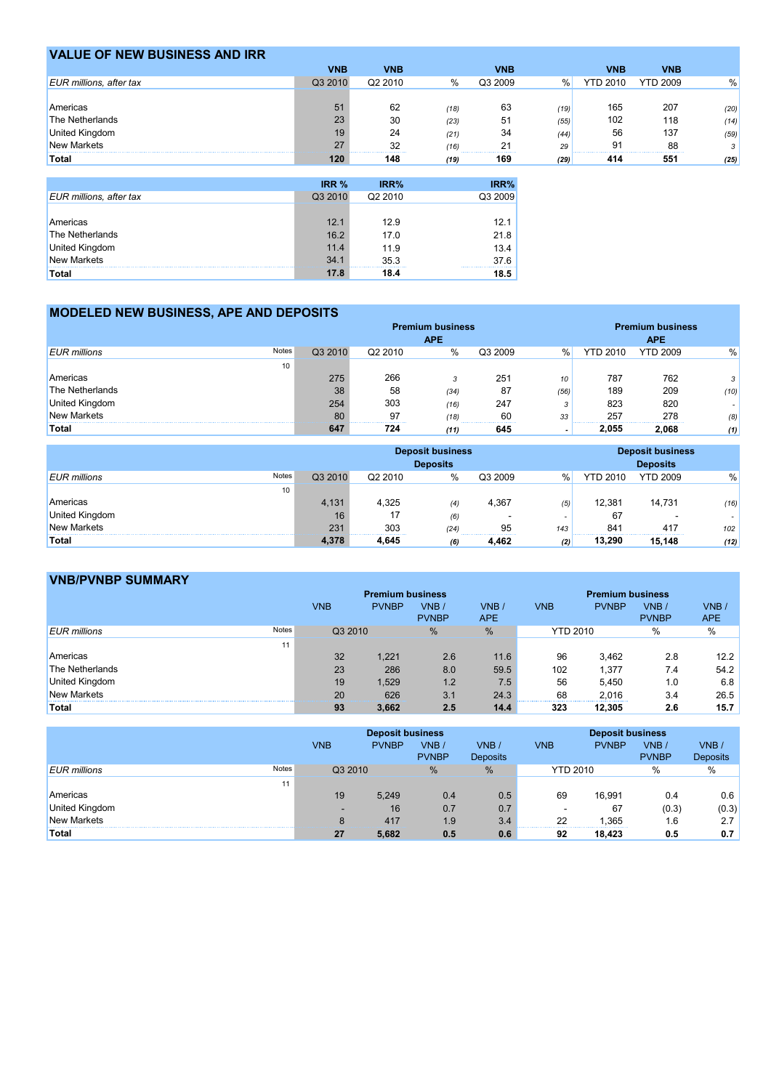| <b>VALUE OF NEW BUSINESS AND IRR</b> |            |            |      |             |      |                 |                 |      |
|--------------------------------------|------------|------------|------|-------------|------|-----------------|-----------------|------|
|                                      | <b>VNB</b> | <b>VNB</b> |      | <b>VNB</b>  |      | VNB             | <b>VNB</b>      |      |
| <b>EUR</b> millions, after tax       | Q3 2010    | Q2 2010    | %    | Q3 2009     | %    | <b>YTD 2010</b> | <b>YTD 2009</b> | $\%$ |
|                                      |            |            |      |             |      |                 |                 |      |
| Americas                             | 51         | 62         | (18) | 63          | (19) | 165             | 207             | (20) |
| The Netherlands                      | 23         | 30         | (23) | 51          | (55) | 102             | 118             | (14) |
| <b>United Kingdom</b>                | 19         | 24         | (21) | 34          | (44) | 56              | 137             | (59) |
| <b>New Markets</b>                   | $\sim$     | 32<br>     | (16) | 21<br>.<br> | 29   | 91              | 88<br>          |      |
| Total                                | 120        | 148        | (19) | 169         | (29) | 414             | 551             | (25) |

|                                | IRR %   | IRR%     | IRR%     |
|--------------------------------|---------|----------|----------|
| <b>EUR millions, after tax</b> | Q3 2010 | Q2 2010  | Q3 2009  |
|                                |         |          |          |
| Americas                       | 12.1    | 12.9     | 12.1     |
| The Netherlands                | 16.2    | 17.0     | 21.8     |
| United Kingdom                 | 11.4    | 11.9     | 13.4     |
| New Markets                    | 34.1    | 35.3     | 37.6     |
| Total                          | 17.8    | <br>18.4 | <br>18.5 |

| <b>MODELED NEW BUSINESS, APE AND DEPOSITS</b> |         |                                       |      |         |      |                 |                                       |      |
|-----------------------------------------------|---------|---------------------------------------|------|---------|------|-----------------|---------------------------------------|------|
|                                               |         | <b>Premium business</b><br><b>APE</b> |      |         |      |                 | <b>Premium business</b><br><b>APE</b> |      |
| <b>Notes</b><br><b>EUR</b> millions           | Q3 2010 | Q2 2010                               | %    | Q3 2009 | $\%$ | <b>YTD 2010</b> | <b>YTD 2009</b>                       | $\%$ |
| 10                                            |         |                                       |      |         |      |                 |                                       |      |
| Americas                                      | 275     | 266                                   |      | 251     | 10   | 787             | 762                                   |      |
| The Netherlands                               | 38      | 58                                    | (34) | -87     | (56) | 189             | 209                                   | (10) |
| <b>United Kingdom</b>                         | 254     | 303                                   | (16) | 247     |      | 823             | 820                                   |      |
| New Markets                                   | 80      | -97                                   | (18) | 60      | 33   | 257             | 278                                   | (8)  |
| Total                                         | 647     | 724                                   | (11) | 645     |      | 2.055           | 2.068                                 | (1)  |

|                              |         |           | <b>Deposit business</b><br><b>Deposits</b> |           |      |                 | <b>Deposit business</b><br><b>Deposits</b> |      |
|------------------------------|---------|-----------|--------------------------------------------|-----------|------|-----------------|--------------------------------------------|------|
| Notes<br><b>EUR</b> millions | Q3 2010 | Q2 2010   | %                                          | Q3 2009   | $\%$ | <b>YTD 2010</b> | <b>YTD 2009</b>                            | $\%$ |
| 10                           |         |           |                                            |           |      |                 |                                            |      |
| Americas                     | 4,131   | 4.325     | (4)                                        | 4,367     | (5)  | 12.381          | 14.731                                     | (16) |
| <b>United Kingdom</b>        | 16      | 17        | (6)                                        |           |      | 67              | -                                          |      |
| <b>New Markets</b>           | 231     | 303       | (24)                                       | 95        | 143  | 841             | 417                                        | 102  |
| Total                        | 4.378   | <br>4.645 | (6)                                        | <br>4.462 | (2)  | 13.290          | 15.148                                     | (12) |

# **VNB/PVNBP SUMMARY**

|                                     | <b>Premium business</b> |              |                      |                   | <b>Premium business</b> |              |                      |                    |
|-------------------------------------|-------------------------|--------------|----------------------|-------------------|-------------------------|--------------|----------------------|--------------------|
|                                     | <b>VNB</b>              | <b>PVNBP</b> | VNB/<br><b>PVNBP</b> | VNB<br><b>APE</b> | <b>VNB</b>              | <b>PVNBP</b> | VNB/<br><b>PVNBP</b> | VNB/<br><b>APE</b> |
| <b>Notes</b><br><b>EUR</b> millions | Q3 2010                 |              | $\%$                 | %                 | <b>YTD 2010</b>         |              | %                    | %                  |
|                                     |                         |              |                      |                   |                         |              |                      |                    |
| Americas                            | 32                      | 1.221        | 2.6                  | 11.6              | 96                      | 3,462        | 2.8                  | 12.2               |
| The Netherlands                     | 23                      | 286          | 8.0                  | 59.5              | 102                     | 1,377        | 7.4                  | 54.2               |
| <b>United Kingdom</b>               | 19                      | 1.529        | 1.2                  | 7.5               | 56                      | 5.450        | 1.0                  | 6.8                |
| <b>New Markets</b>                  | 20                      | 626          | 3.1                  | 24.3              | 68<br>.                 | 2.016        | 3.4                  | 26.5               |
| Total                               | 93                      | 3,662        | 2.5                  | 14.4              | 323                     | 12,305       | 2.6                  | 15.7               |

|                                     |            | <b>Deposit business</b> |                      |                         |                 | <b>Deposit business</b> |                      |                         |  |  |
|-------------------------------------|------------|-------------------------|----------------------|-------------------------|-----------------|-------------------------|----------------------|-------------------------|--|--|
|                                     | <b>VNB</b> | <b>PVNBP</b>            | VNB/<br><b>PVNBP</b> | VNB/<br><b>Deposits</b> | <b>VNB</b>      | <b>PVNBP</b>            | VNB/<br><b>PVNBP</b> | VNB/<br><b>Deposits</b> |  |  |
| <b>Notes</b><br><b>EUR</b> millions | Q3 2010    |                         | %                    | $\%$                    | <b>YTD 2010</b> |                         | %                    | %                       |  |  |
| 11                                  |            |                         |                      |                         |                 |                         |                      |                         |  |  |
| Americas                            | 19         | 5.249                   | 0.4                  | 0.5                     | 69              | 16.991                  | 0.4                  | 0.6                     |  |  |
| <b>United Kingdom</b>               |            | 16                      | 0.7                  | 0.7                     |                 | 67                      | (0.3)                | (0.3)                   |  |  |
| <b>New Markets</b>                  |            | 417                     | 1.9                  | 3.4                     | 22              | .365                    | 1.6                  | 2.7                     |  |  |
| Total                               | 27         | 5.682                   | 0.5                  | 0.6                     | 92              | 18.423                  | 0.5                  | 0.7                     |  |  |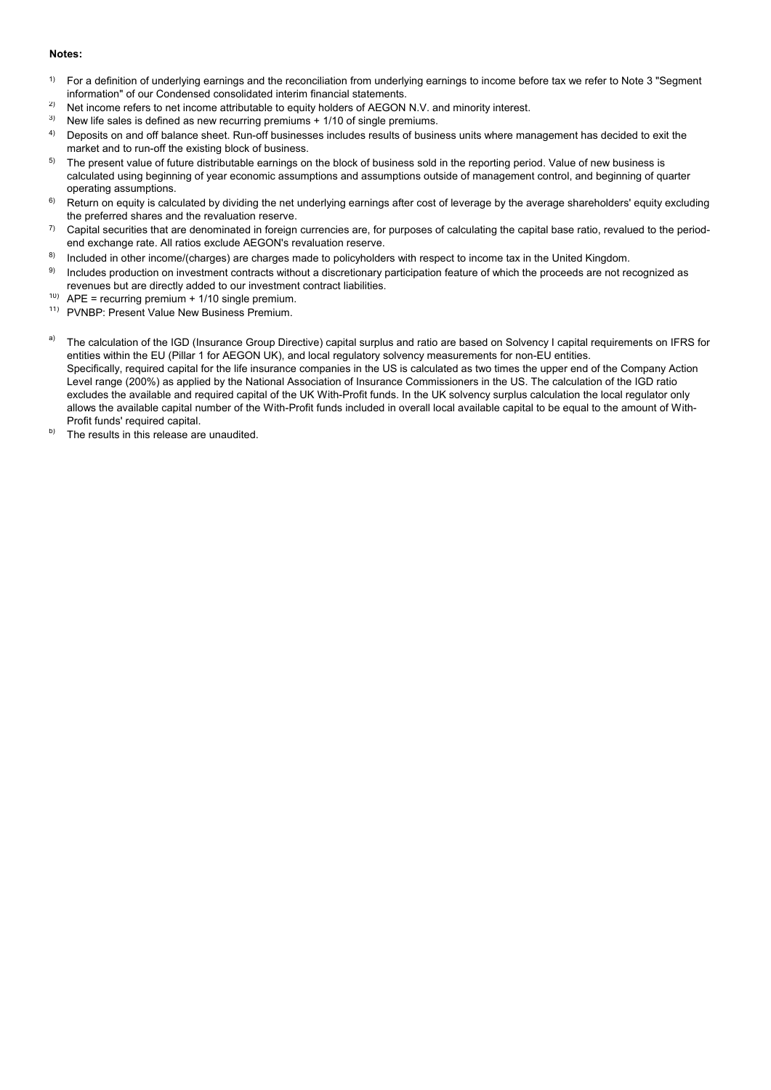### **Notes:**

- 1) For a definition of underlying earnings and the reconciliation from underlying earnings to income before tax we refer to Note 3 "Segment information" of our Condensed consolidated interim financial statements.
- <sup>2)</sup> Net income refers to net income attributable to equity holders of AEGON N.V. and minority interest.
- $3)$  New life sales is defined as new recurring premiums + 1/10 of single premiums.
- 4) Deposits on and off balance sheet. Run-off businesses includes results of business units where management has decided to exit the market and to run-off the existing block of business.
- <sup>5)</sup> The present value of future distributable earnings on the block of business sold in the reporting period. Value of new business is calculated using beginning of year economic assumptions and assumptions outside of management control, and beginning of quarter operating assumptions.
- <sup>6)</sup> Return on equity is calculated by dividing the net underlying earnings after cost of leverage by the average shareholders' equity excluding the preferred shares and the revaluation reserve.
- <sup>7)</sup> Capital securities that are denominated in foreign currencies are, for purposes of calculating the capital base ratio, revalued to the periodend exchange rate. All ratios exclude AEGON's revaluation reserve.
- <sup>8)</sup> Included in other income/(charges) are charges made to policyholders with respect to income tax in the United Kingdom.
- 9) Includes production on investment contracts without a discretionary participation feature of which the proceeds are not recognized as revenues but are directly added to our investment contract liabilities.
- $10)$  APE = recurring premium + 1/10 single premium.
- 11) PVNBP: Present Value New Business Premium.
- a) The calculation of the IGD (Insurance Group Directive) capital surplus and ratio are based on Solvency I capital requirements on IFRS for entities within the EU (Pillar 1 for AEGON UK), and local regulatory solvency measurements for non-EU entities. Specifically, required capital for the life insurance companies in the US is calculated as two times the upper end of the Company Action Level range (200%) as applied by the National Association of Insurance Commissioners in the US. The calculation of the IGD ratio excludes the available and required capital of the UK With-Profit funds. In the UK solvency surplus calculation the local regulator only allows the available capital number of the With-Profit funds included in overall local available capital to be equal to the amount of With-Profit funds' required capital.
- <sup>b)</sup> The results in this release are unaudited.